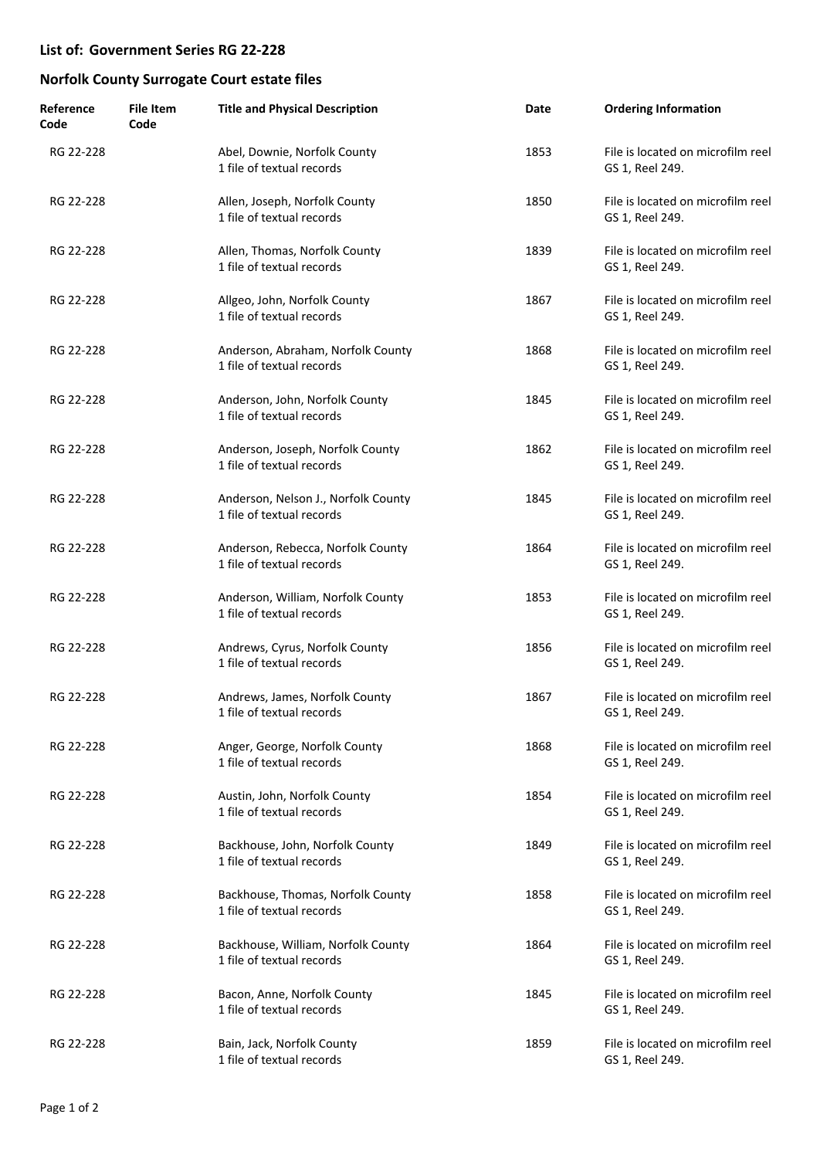| Reference<br>Code | <b>File Item</b><br>Code | <b>Title and Physical Description</b>                            | Date | <b>Ordering Information</b>                          |
|-------------------|--------------------------|------------------------------------------------------------------|------|------------------------------------------------------|
| RG 22-228         |                          | Abel, Downie, Norfolk County<br>1 file of textual records        | 1853 | File is located on microfilm reel<br>GS 1, Reel 249. |
| RG 22-228         |                          | Allen, Joseph, Norfolk County<br>1 file of textual records       | 1850 | File is located on microfilm reel<br>GS 1, Reel 249. |
| RG 22-228         |                          | Allen, Thomas, Norfolk County<br>1 file of textual records       | 1839 | File is located on microfilm reel<br>GS 1, Reel 249. |
| RG 22-228         |                          | Allgeo, John, Norfolk County<br>1 file of textual records        | 1867 | File is located on microfilm reel<br>GS 1, Reel 249. |
| RG 22-228         |                          | Anderson, Abraham, Norfolk County<br>1 file of textual records   | 1868 | File is located on microfilm reel<br>GS 1, Reel 249. |
| RG 22-228         |                          | Anderson, John, Norfolk County<br>1 file of textual records      | 1845 | File is located on microfilm reel<br>GS 1, Reel 249. |
| RG 22-228         |                          | Anderson, Joseph, Norfolk County<br>1 file of textual records    | 1862 | File is located on microfilm reel<br>GS 1, Reel 249. |
| RG 22-228         |                          | Anderson, Nelson J., Norfolk County<br>1 file of textual records | 1845 | File is located on microfilm reel<br>GS 1, Reel 249. |
| RG 22-228         |                          | Anderson, Rebecca, Norfolk County<br>1 file of textual records   | 1864 | File is located on microfilm reel<br>GS 1, Reel 249. |
| RG 22-228         |                          | Anderson, William, Norfolk County<br>1 file of textual records   | 1853 | File is located on microfilm reel<br>GS 1, Reel 249. |
| RG 22-228         |                          | Andrews, Cyrus, Norfolk County<br>1 file of textual records      | 1856 | File is located on microfilm reel<br>GS 1, Reel 249. |
| RG 22-228         |                          | Andrews, James, Norfolk County<br>1 file of textual records      | 1867 | File is located on microfilm reel<br>GS 1, Reel 249. |
| RG 22-228         |                          | Anger, George, Norfolk County<br>1 file of textual records       | 1868 | File is located on microfilm reel<br>GS 1, Reel 249. |
| RG 22-228         |                          | Austin, John, Norfolk County<br>1 file of textual records        | 1854 | File is located on microfilm reel<br>GS 1, Reel 249. |
| RG 22-228         |                          | Backhouse, John, Norfolk County<br>1 file of textual records     | 1849 | File is located on microfilm reel<br>GS 1, Reel 249. |
| RG 22-228         |                          | Backhouse, Thomas, Norfolk County<br>1 file of textual records   | 1858 | File is located on microfilm reel<br>GS 1, Reel 249. |
| RG 22-228         |                          | Backhouse, William, Norfolk County<br>1 file of textual records  | 1864 | File is located on microfilm reel<br>GS 1, Reel 249. |
| RG 22-228         |                          | Bacon, Anne, Norfolk County<br>1 file of textual records         | 1845 | File is located on microfilm reel<br>GS 1, Reel 249. |
| RG 22-228         |                          | Bain, Jack, Norfolk County<br>1 file of textual records          | 1859 | File is located on microfilm reel<br>GS 1, Reel 249. |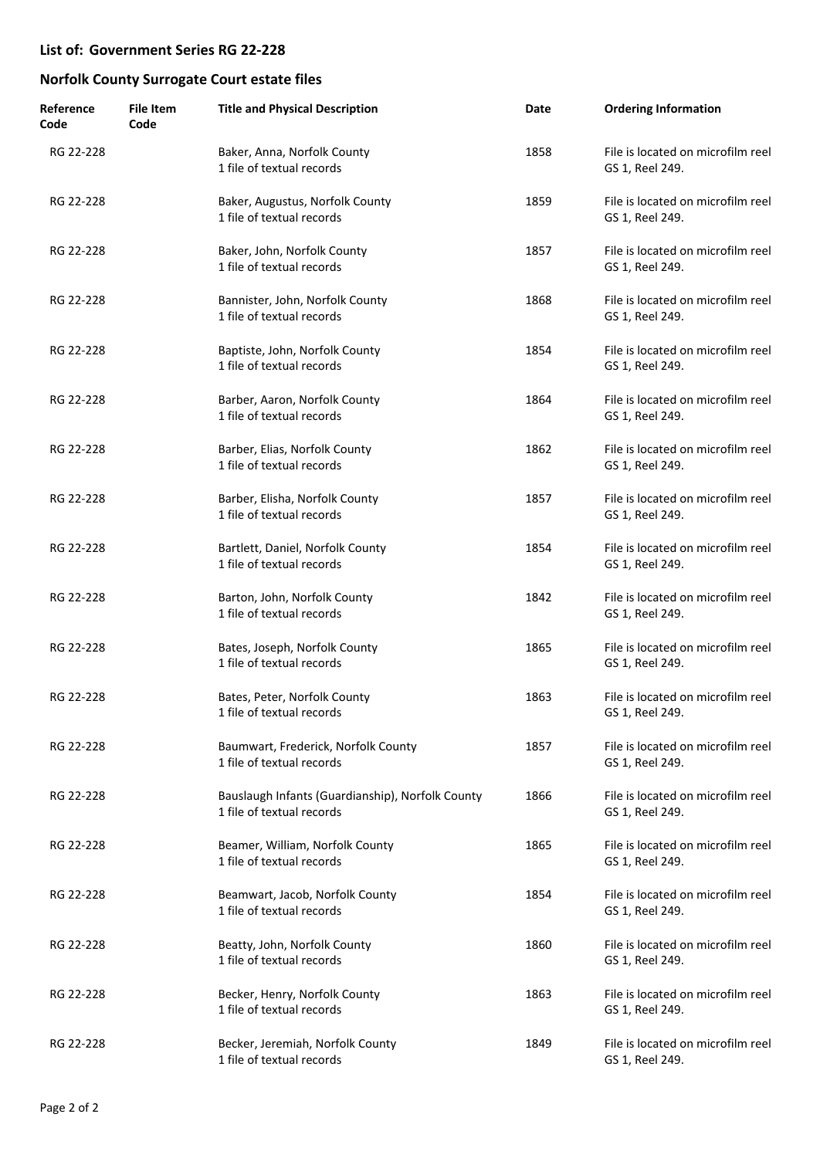| Reference<br>Code | <b>File Item</b><br>Code | <b>Title and Physical Description</b>                                         | Date | <b>Ordering Information</b>                          |
|-------------------|--------------------------|-------------------------------------------------------------------------------|------|------------------------------------------------------|
| RG 22-228         |                          | Baker, Anna, Norfolk County<br>1 file of textual records                      | 1858 | File is located on microfilm reel<br>GS 1, Reel 249. |
| RG 22-228         |                          | Baker, Augustus, Norfolk County<br>1 file of textual records                  | 1859 | File is located on microfilm reel<br>GS 1, Reel 249. |
| RG 22-228         |                          | Baker, John, Norfolk County<br>1 file of textual records                      | 1857 | File is located on microfilm reel<br>GS 1, Reel 249. |
| RG 22-228         |                          | Bannister, John, Norfolk County<br>1 file of textual records                  | 1868 | File is located on microfilm reel<br>GS 1, Reel 249. |
| RG 22-228         |                          | Baptiste, John, Norfolk County<br>1 file of textual records                   | 1854 | File is located on microfilm reel<br>GS 1, Reel 249. |
| RG 22-228         |                          | Barber, Aaron, Norfolk County<br>1 file of textual records                    | 1864 | File is located on microfilm reel<br>GS 1, Reel 249. |
| RG 22-228         |                          | Barber, Elias, Norfolk County<br>1 file of textual records                    | 1862 | File is located on microfilm reel<br>GS 1, Reel 249. |
| RG 22-228         |                          | Barber, Elisha, Norfolk County<br>1 file of textual records                   | 1857 | File is located on microfilm reel<br>GS 1, Reel 249. |
| RG 22-228         |                          | Bartlett, Daniel, Norfolk County<br>1 file of textual records                 | 1854 | File is located on microfilm reel<br>GS 1, Reel 249. |
| RG 22-228         |                          | Barton, John, Norfolk County<br>1 file of textual records                     | 1842 | File is located on microfilm reel<br>GS 1, Reel 249. |
| RG 22-228         |                          | Bates, Joseph, Norfolk County<br>1 file of textual records                    | 1865 | File is located on microfilm reel<br>GS 1, Reel 249. |
| RG 22-228         |                          | Bates, Peter, Norfolk County<br>1 file of textual records                     | 1863 | File is located on microfilm reel<br>GS 1, Reel 249. |
| RG 22-228         |                          | Baumwart, Frederick, Norfolk County<br>1 file of textual records              | 1857 | File is located on microfilm reel<br>GS 1, Reel 249. |
| RG 22-228         |                          | Bauslaugh Infants (Guardianship), Norfolk County<br>1 file of textual records | 1866 | File is located on microfilm reel<br>GS 1, Reel 249. |
| RG 22-228         |                          | Beamer, William, Norfolk County<br>1 file of textual records                  | 1865 | File is located on microfilm reel<br>GS 1, Reel 249. |
| RG 22-228         |                          | Beamwart, Jacob, Norfolk County<br>1 file of textual records                  | 1854 | File is located on microfilm reel<br>GS 1, Reel 249. |
| RG 22-228         |                          | Beatty, John, Norfolk County<br>1 file of textual records                     | 1860 | File is located on microfilm reel<br>GS 1, Reel 249. |
| RG 22-228         |                          | Becker, Henry, Norfolk County<br>1 file of textual records                    | 1863 | File is located on microfilm reel<br>GS 1, Reel 249. |
| RG 22-228         |                          | Becker, Jeremiah, Norfolk County<br>1 file of textual records                 | 1849 | File is located on microfilm reel<br>GS 1, Reel 249. |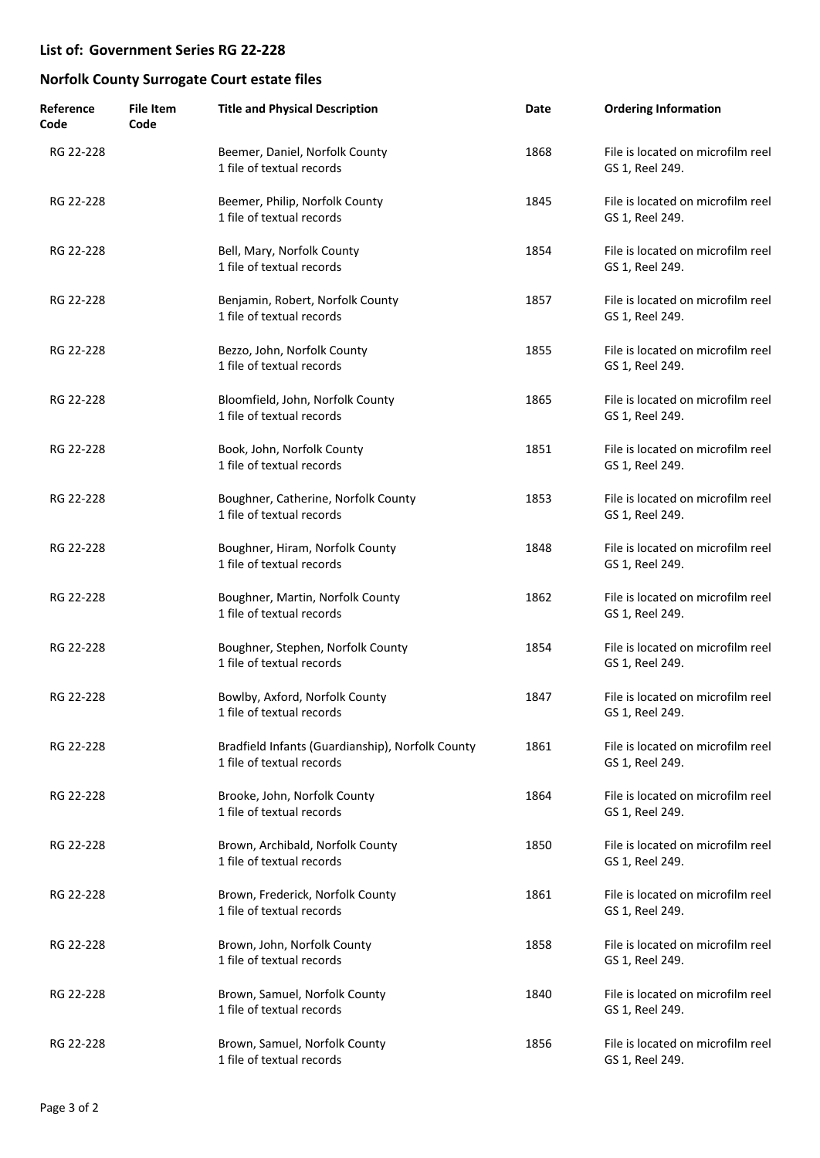| Reference<br>Code | <b>File Item</b><br>Code | <b>Title and Physical Description</b>                                         | Date | <b>Ordering Information</b>                          |
|-------------------|--------------------------|-------------------------------------------------------------------------------|------|------------------------------------------------------|
| RG 22-228         |                          | Beemer, Daniel, Norfolk County<br>1 file of textual records                   | 1868 | File is located on microfilm reel<br>GS 1, Reel 249. |
| RG 22-228         |                          | Beemer, Philip, Norfolk County<br>1 file of textual records                   | 1845 | File is located on microfilm reel<br>GS 1, Reel 249. |
| RG 22-228         |                          | Bell, Mary, Norfolk County<br>1 file of textual records                       | 1854 | File is located on microfilm reel<br>GS 1, Reel 249. |
| RG 22-228         |                          | Benjamin, Robert, Norfolk County<br>1 file of textual records                 | 1857 | File is located on microfilm reel<br>GS 1, Reel 249. |
| RG 22-228         |                          | Bezzo, John, Norfolk County<br>1 file of textual records                      | 1855 | File is located on microfilm reel<br>GS 1, Reel 249. |
| RG 22-228         |                          | Bloomfield, John, Norfolk County<br>1 file of textual records                 | 1865 | File is located on microfilm reel<br>GS 1, Reel 249. |
| RG 22-228         |                          | Book, John, Norfolk County<br>1 file of textual records                       | 1851 | File is located on microfilm reel<br>GS 1, Reel 249. |
| RG 22-228         |                          | Boughner, Catherine, Norfolk County<br>1 file of textual records              | 1853 | File is located on microfilm reel<br>GS 1, Reel 249. |
| RG 22-228         |                          | Boughner, Hiram, Norfolk County<br>1 file of textual records                  | 1848 | File is located on microfilm reel<br>GS 1, Reel 249. |
| RG 22-228         |                          | Boughner, Martin, Norfolk County<br>1 file of textual records                 | 1862 | File is located on microfilm reel<br>GS 1, Reel 249. |
| RG 22-228         |                          | Boughner, Stephen, Norfolk County<br>1 file of textual records                | 1854 | File is located on microfilm reel<br>GS 1, Reel 249. |
| RG 22-228         |                          | Bowlby, Axford, Norfolk County<br>1 file of textual records                   | 1847 | File is located on microfilm reel<br>GS 1, Reel 249. |
| RG 22-228         |                          | Bradfield Infants (Guardianship), Norfolk County<br>1 file of textual records | 1861 | File is located on microfilm reel<br>GS 1, Reel 249. |
| RG 22-228         |                          | Brooke, John, Norfolk County<br>1 file of textual records                     | 1864 | File is located on microfilm reel<br>GS 1, Reel 249. |
| RG 22-228         |                          | Brown, Archibald, Norfolk County<br>1 file of textual records                 | 1850 | File is located on microfilm reel<br>GS 1, Reel 249. |
| RG 22-228         |                          | Brown, Frederick, Norfolk County<br>1 file of textual records                 | 1861 | File is located on microfilm reel<br>GS 1, Reel 249. |
| RG 22-228         |                          | Brown, John, Norfolk County<br>1 file of textual records                      | 1858 | File is located on microfilm reel<br>GS 1, Reel 249. |
| RG 22-228         |                          | Brown, Samuel, Norfolk County<br>1 file of textual records                    | 1840 | File is located on microfilm reel<br>GS 1, Reel 249. |
| RG 22-228         |                          | Brown, Samuel, Norfolk County<br>1 file of textual records                    | 1856 | File is located on microfilm reel<br>GS 1, Reel 249. |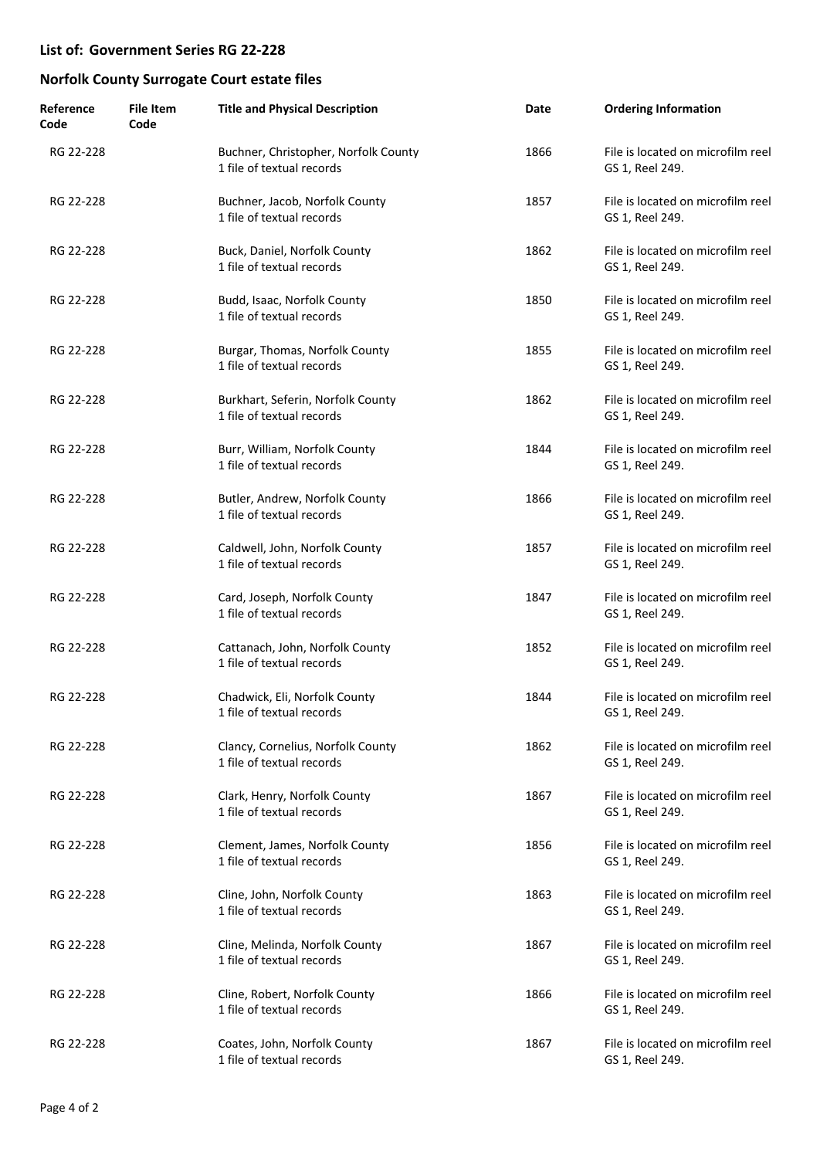| Reference<br>Code | <b>File Item</b><br>Code | <b>Title and Physical Description</b>                             | Date | <b>Ordering Information</b>                          |
|-------------------|--------------------------|-------------------------------------------------------------------|------|------------------------------------------------------|
| RG 22-228         |                          | Buchner, Christopher, Norfolk County<br>1 file of textual records | 1866 | File is located on microfilm reel<br>GS 1, Reel 249. |
| RG 22-228         |                          | Buchner, Jacob, Norfolk County<br>1 file of textual records       | 1857 | File is located on microfilm reel<br>GS 1, Reel 249. |
| RG 22-228         |                          | Buck, Daniel, Norfolk County<br>1 file of textual records         | 1862 | File is located on microfilm reel<br>GS 1, Reel 249. |
| RG 22-228         |                          | Budd, Isaac, Norfolk County<br>1 file of textual records          | 1850 | File is located on microfilm reel<br>GS 1, Reel 249. |
| RG 22-228         |                          | Burgar, Thomas, Norfolk County<br>1 file of textual records       | 1855 | File is located on microfilm reel<br>GS 1, Reel 249. |
| RG 22-228         |                          | Burkhart, Seferin, Norfolk County<br>1 file of textual records    | 1862 | File is located on microfilm reel<br>GS 1, Reel 249. |
| RG 22-228         |                          | Burr, William, Norfolk County<br>1 file of textual records        | 1844 | File is located on microfilm reel<br>GS 1, Reel 249. |
| RG 22-228         |                          | Butler, Andrew, Norfolk County<br>1 file of textual records       | 1866 | File is located on microfilm reel<br>GS 1, Reel 249. |
| RG 22-228         |                          | Caldwell, John, Norfolk County<br>1 file of textual records       | 1857 | File is located on microfilm reel<br>GS 1, Reel 249. |
| RG 22-228         |                          | Card, Joseph, Norfolk County<br>1 file of textual records         | 1847 | File is located on microfilm reel<br>GS 1, Reel 249. |
| RG 22-228         |                          | Cattanach, John, Norfolk County<br>1 file of textual records      | 1852 | File is located on microfilm reel<br>GS 1, Reel 249. |
| RG 22-228         |                          | Chadwick, Eli, Norfolk County<br>1 file of textual records        | 1844 | File is located on microfilm reel<br>GS 1, Reel 249. |
| RG 22-228         |                          | Clancy, Cornelius, Norfolk County<br>1 file of textual records    | 1862 | File is located on microfilm reel<br>GS 1, Reel 249. |
| RG 22-228         |                          | Clark, Henry, Norfolk County<br>1 file of textual records         | 1867 | File is located on microfilm reel<br>GS 1, Reel 249. |
| RG 22-228         |                          | Clement, James, Norfolk County<br>1 file of textual records       | 1856 | File is located on microfilm reel<br>GS 1, Reel 249. |
| RG 22-228         |                          | Cline, John, Norfolk County<br>1 file of textual records          | 1863 | File is located on microfilm reel<br>GS 1, Reel 249. |
| RG 22-228         |                          | Cline, Melinda, Norfolk County<br>1 file of textual records       | 1867 | File is located on microfilm reel<br>GS 1, Reel 249. |
| RG 22-228         |                          | Cline, Robert, Norfolk County<br>1 file of textual records        | 1866 | File is located on microfilm reel<br>GS 1, Reel 249. |
| RG 22-228         |                          | Coates, John, Norfolk County<br>1 file of textual records         | 1867 | File is located on microfilm reel<br>GS 1, Reel 249. |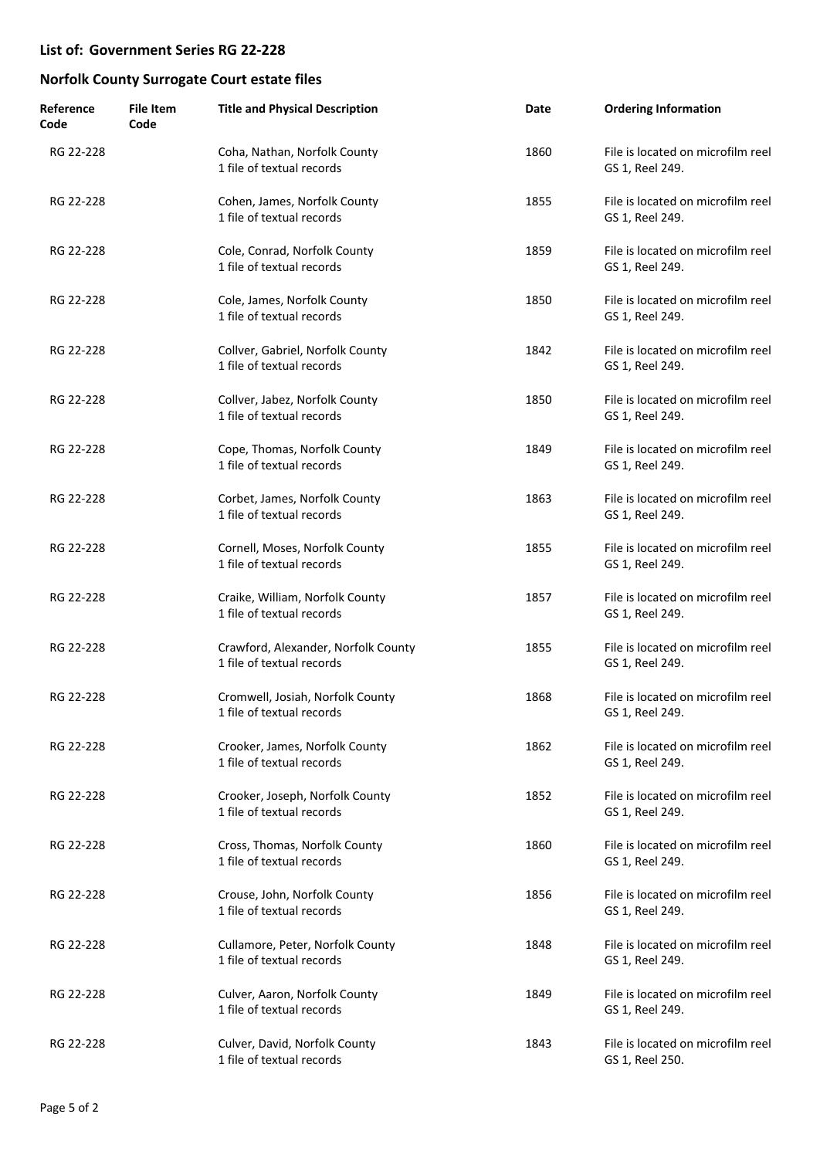| Reference<br>Code | <b>File Item</b><br>Code | <b>Title and Physical Description</b>                            | Date | <b>Ordering Information</b>                          |
|-------------------|--------------------------|------------------------------------------------------------------|------|------------------------------------------------------|
| RG 22-228         |                          | Coha, Nathan, Norfolk County<br>1 file of textual records        | 1860 | File is located on microfilm reel<br>GS 1, Reel 249. |
| RG 22-228         |                          | Cohen, James, Norfolk County<br>1 file of textual records        | 1855 | File is located on microfilm reel<br>GS 1, Reel 249. |
| RG 22-228         |                          | Cole, Conrad, Norfolk County<br>1 file of textual records        | 1859 | File is located on microfilm reel<br>GS 1, Reel 249. |
| RG 22-228         |                          | Cole, James, Norfolk County<br>1 file of textual records         | 1850 | File is located on microfilm reel<br>GS 1, Reel 249. |
| RG 22-228         |                          | Collver, Gabriel, Norfolk County<br>1 file of textual records    | 1842 | File is located on microfilm reel<br>GS 1, Reel 249. |
| RG 22-228         |                          | Collver, Jabez, Norfolk County<br>1 file of textual records      | 1850 | File is located on microfilm reel<br>GS 1, Reel 249. |
| RG 22-228         |                          | Cope, Thomas, Norfolk County<br>1 file of textual records        | 1849 | File is located on microfilm reel<br>GS 1, Reel 249. |
| RG 22-228         |                          | Corbet, James, Norfolk County<br>1 file of textual records       | 1863 | File is located on microfilm reel<br>GS 1, Reel 249. |
| RG 22-228         |                          | Cornell, Moses, Norfolk County<br>1 file of textual records      | 1855 | File is located on microfilm reel<br>GS 1, Reel 249. |
| RG 22-228         |                          | Craike, William, Norfolk County<br>1 file of textual records     | 1857 | File is located on microfilm reel<br>GS 1, Reel 249. |
| RG 22-228         |                          | Crawford, Alexander, Norfolk County<br>1 file of textual records | 1855 | File is located on microfilm reel<br>GS 1, Reel 249. |
| RG 22-228         |                          | Cromwell, Josiah, Norfolk County<br>1 file of textual records    | 1868 | File is located on microfilm reel<br>GS 1, Reel 249. |
| RG 22-228         |                          | Crooker, James, Norfolk County<br>1 file of textual records      | 1862 | File is located on microfilm reel<br>GS 1, Reel 249. |
| RG 22-228         |                          | Crooker, Joseph, Norfolk County<br>1 file of textual records     | 1852 | File is located on microfilm reel<br>GS 1, Reel 249. |
| RG 22-228         |                          | Cross, Thomas, Norfolk County<br>1 file of textual records       | 1860 | File is located on microfilm reel<br>GS 1, Reel 249. |
| RG 22-228         |                          | Crouse, John, Norfolk County<br>1 file of textual records        | 1856 | File is located on microfilm reel<br>GS 1, Reel 249. |
| RG 22-228         |                          | Cullamore, Peter, Norfolk County<br>1 file of textual records    | 1848 | File is located on microfilm reel<br>GS 1, Reel 249. |
| RG 22-228         |                          | Culver, Aaron, Norfolk County<br>1 file of textual records       | 1849 | File is located on microfilm reel<br>GS 1, Reel 249. |
| RG 22-228         |                          | Culver, David, Norfolk County<br>1 file of textual records       | 1843 | File is located on microfilm reel<br>GS 1, Reel 250. |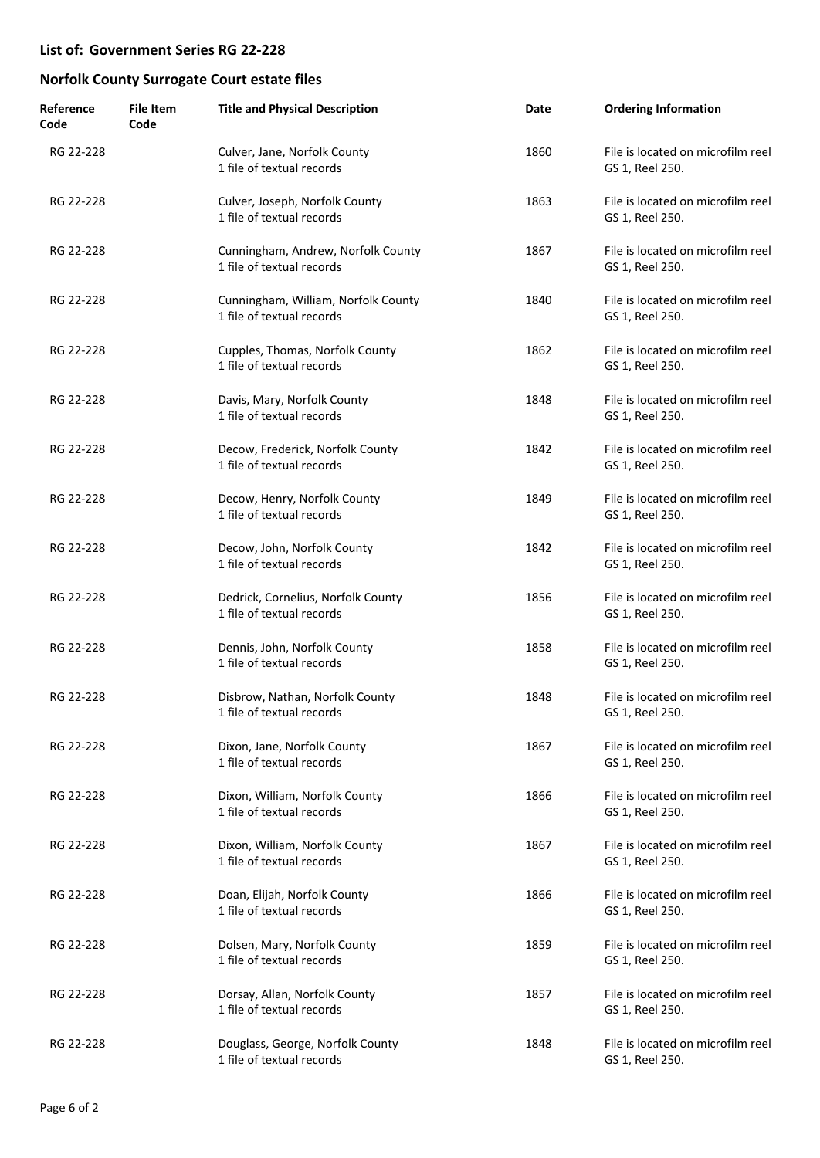| Reference<br>Code | <b>File Item</b><br>Code | <b>Title and Physical Description</b>                            | Date | <b>Ordering Information</b>                          |
|-------------------|--------------------------|------------------------------------------------------------------|------|------------------------------------------------------|
| RG 22-228         |                          | Culver, Jane, Norfolk County<br>1 file of textual records        | 1860 | File is located on microfilm reel<br>GS 1, Reel 250. |
| RG 22-228         |                          | Culver, Joseph, Norfolk County<br>1 file of textual records      | 1863 | File is located on microfilm reel<br>GS 1, Reel 250. |
| RG 22-228         |                          | Cunningham, Andrew, Norfolk County<br>1 file of textual records  | 1867 | File is located on microfilm reel<br>GS 1, Reel 250. |
| RG 22-228         |                          | Cunningham, William, Norfolk County<br>1 file of textual records | 1840 | File is located on microfilm reel<br>GS 1, Reel 250. |
| RG 22-228         |                          | Cupples, Thomas, Norfolk County<br>1 file of textual records     | 1862 | File is located on microfilm reel<br>GS 1, Reel 250. |
| RG 22-228         |                          | Davis, Mary, Norfolk County<br>1 file of textual records         | 1848 | File is located on microfilm reel<br>GS 1, Reel 250. |
| RG 22-228         |                          | Decow, Frederick, Norfolk County<br>1 file of textual records    | 1842 | File is located on microfilm reel<br>GS 1, Reel 250. |
| RG 22-228         |                          | Decow, Henry, Norfolk County<br>1 file of textual records        | 1849 | File is located on microfilm reel<br>GS 1, Reel 250. |
| RG 22-228         |                          | Decow, John, Norfolk County<br>1 file of textual records         | 1842 | File is located on microfilm reel<br>GS 1, Reel 250. |
| RG 22-228         |                          | Dedrick, Cornelius, Norfolk County<br>1 file of textual records  | 1856 | File is located on microfilm reel<br>GS 1, Reel 250. |
| RG 22-228         |                          | Dennis, John, Norfolk County<br>1 file of textual records        | 1858 | File is located on microfilm reel<br>GS 1, Reel 250. |
| RG 22-228         |                          | Disbrow, Nathan, Norfolk County<br>1 file of textual records     | 1848 | File is located on microfilm reel<br>GS 1, Reel 250. |
| RG 22-228         |                          | Dixon, Jane, Norfolk County<br>1 file of textual records         | 1867 | File is located on microfilm reel<br>GS 1, Reel 250. |
| RG 22-228         |                          | Dixon, William, Norfolk County<br>1 file of textual records      | 1866 | File is located on microfilm reel<br>GS 1, Reel 250. |
| RG 22-228         |                          | Dixon, William, Norfolk County<br>1 file of textual records      | 1867 | File is located on microfilm reel<br>GS 1, Reel 250. |
| RG 22-228         |                          | Doan, Elijah, Norfolk County<br>1 file of textual records        | 1866 | File is located on microfilm reel<br>GS 1, Reel 250. |
| RG 22-228         |                          | Dolsen, Mary, Norfolk County<br>1 file of textual records        | 1859 | File is located on microfilm reel<br>GS 1, Reel 250. |
| RG 22-228         |                          | Dorsay, Allan, Norfolk County<br>1 file of textual records       | 1857 | File is located on microfilm reel<br>GS 1, Reel 250. |
| RG 22-228         |                          | Douglass, George, Norfolk County<br>1 file of textual records    | 1848 | File is located on microfilm reel<br>GS 1, Reel 250. |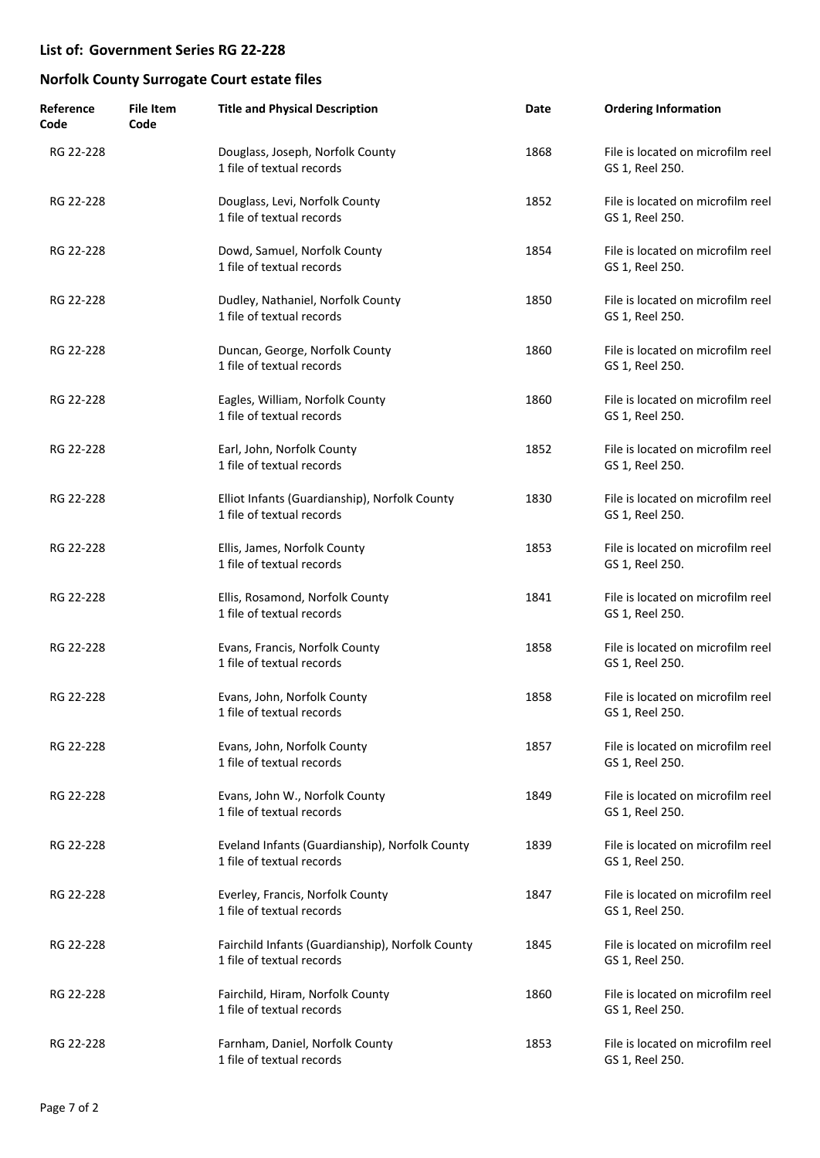| Reference<br>Code | <b>File Item</b><br>Code | <b>Title and Physical Description</b>                                         | Date | <b>Ordering Information</b>                          |
|-------------------|--------------------------|-------------------------------------------------------------------------------|------|------------------------------------------------------|
| RG 22-228         |                          | Douglass, Joseph, Norfolk County<br>1 file of textual records                 | 1868 | File is located on microfilm reel<br>GS 1, Reel 250. |
| RG 22-228         |                          | Douglass, Levi, Norfolk County<br>1 file of textual records                   | 1852 | File is located on microfilm reel<br>GS 1, Reel 250. |
| RG 22-228         |                          | Dowd, Samuel, Norfolk County<br>1 file of textual records                     | 1854 | File is located on microfilm reel<br>GS 1, Reel 250. |
| RG 22-228         |                          | Dudley, Nathaniel, Norfolk County<br>1 file of textual records                | 1850 | File is located on microfilm reel<br>GS 1, Reel 250. |
| RG 22-228         |                          | Duncan, George, Norfolk County<br>1 file of textual records                   | 1860 | File is located on microfilm reel<br>GS 1, Reel 250. |
| RG 22-228         |                          | Eagles, William, Norfolk County<br>1 file of textual records                  | 1860 | File is located on microfilm reel<br>GS 1, Reel 250. |
| RG 22-228         |                          | Earl, John, Norfolk County<br>1 file of textual records                       | 1852 | File is located on microfilm reel<br>GS 1, Reel 250. |
| RG 22-228         |                          | Elliot Infants (Guardianship), Norfolk County<br>1 file of textual records    | 1830 | File is located on microfilm reel<br>GS 1, Reel 250. |
| RG 22-228         |                          | Ellis, James, Norfolk County<br>1 file of textual records                     | 1853 | File is located on microfilm reel<br>GS 1, Reel 250. |
| RG 22-228         |                          | Ellis, Rosamond, Norfolk County<br>1 file of textual records                  | 1841 | File is located on microfilm reel<br>GS 1, Reel 250. |
| RG 22-228         |                          | Evans, Francis, Norfolk County<br>1 file of textual records                   | 1858 | File is located on microfilm reel<br>GS 1, Reel 250. |
| RG 22-228         |                          | Evans, John, Norfolk County<br>1 file of textual records                      | 1858 | File is located on microfilm reel<br>GS 1, Reel 250. |
| RG 22-228         |                          | Evans, John, Norfolk County<br>1 file of textual records                      | 1857 | File is located on microfilm reel<br>GS 1, Reel 250. |
| RG 22-228         |                          | Evans, John W., Norfolk County<br>1 file of textual records                   | 1849 | File is located on microfilm reel<br>GS 1, Reel 250. |
| RG 22-228         |                          | Eveland Infants (Guardianship), Norfolk County<br>1 file of textual records   | 1839 | File is located on microfilm reel<br>GS 1, Reel 250. |
| RG 22-228         |                          | Everley, Francis, Norfolk County<br>1 file of textual records                 | 1847 | File is located on microfilm reel<br>GS 1, Reel 250. |
| RG 22-228         |                          | Fairchild Infants (Guardianship), Norfolk County<br>1 file of textual records | 1845 | File is located on microfilm reel<br>GS 1, Reel 250. |
| RG 22-228         |                          | Fairchild, Hiram, Norfolk County<br>1 file of textual records                 | 1860 | File is located on microfilm reel<br>GS 1, Reel 250. |
| RG 22-228         |                          | Farnham, Daniel, Norfolk County<br>1 file of textual records                  | 1853 | File is located on microfilm reel<br>GS 1, Reel 250. |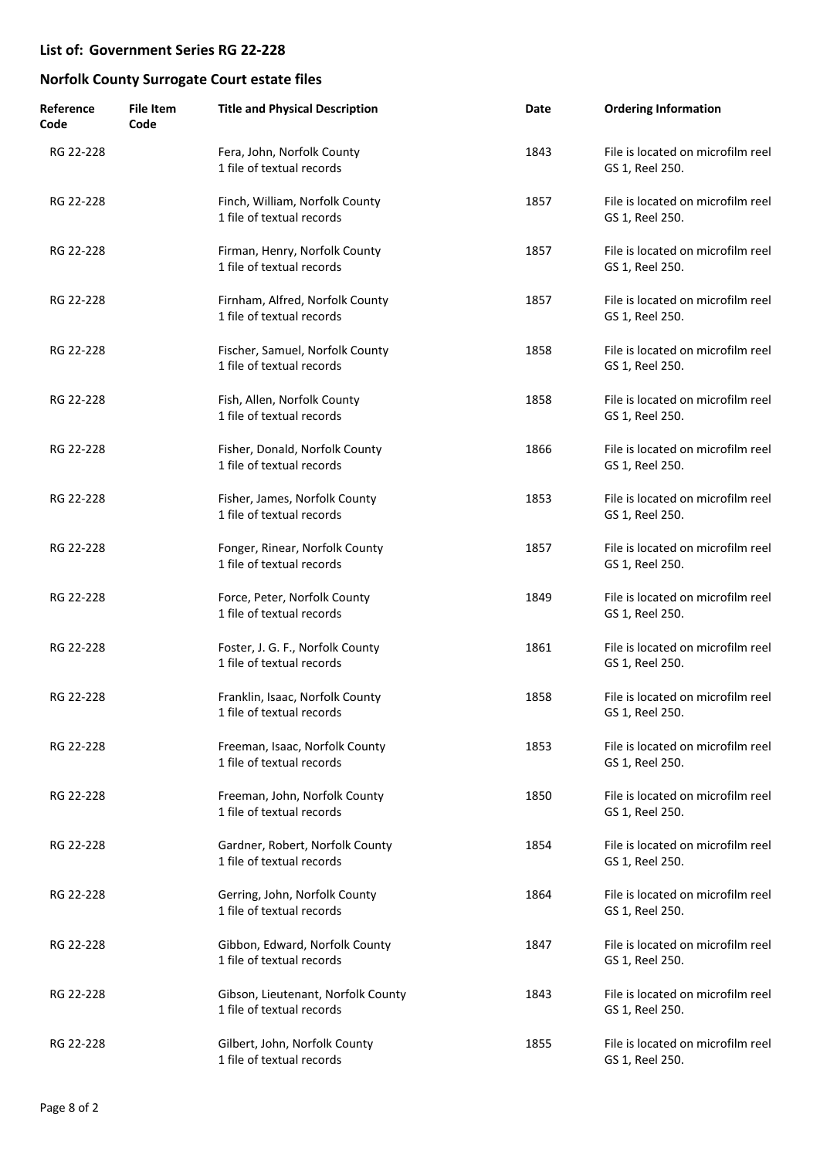| Reference<br>Code | <b>File Item</b><br>Code | <b>Title and Physical Description</b>                           | Date | <b>Ordering Information</b>                          |
|-------------------|--------------------------|-----------------------------------------------------------------|------|------------------------------------------------------|
| RG 22-228         |                          | Fera, John, Norfolk County<br>1 file of textual records         | 1843 | File is located on microfilm reel<br>GS 1, Reel 250. |
| RG 22-228         |                          | Finch, William, Norfolk County<br>1 file of textual records     | 1857 | File is located on microfilm reel<br>GS 1, Reel 250. |
| RG 22-228         |                          | Firman, Henry, Norfolk County<br>1 file of textual records      | 1857 | File is located on microfilm reel<br>GS 1, Reel 250. |
| RG 22-228         |                          | Firnham, Alfred, Norfolk County<br>1 file of textual records    | 1857 | File is located on microfilm reel<br>GS 1, Reel 250. |
| RG 22-228         |                          | Fischer, Samuel, Norfolk County<br>1 file of textual records    | 1858 | File is located on microfilm reel<br>GS 1, Reel 250. |
| RG 22-228         |                          | Fish, Allen, Norfolk County<br>1 file of textual records        | 1858 | File is located on microfilm reel<br>GS 1, Reel 250. |
| RG 22-228         |                          | Fisher, Donald, Norfolk County<br>1 file of textual records     | 1866 | File is located on microfilm reel<br>GS 1, Reel 250. |
| RG 22-228         |                          | Fisher, James, Norfolk County<br>1 file of textual records      | 1853 | File is located on microfilm reel<br>GS 1, Reel 250. |
| RG 22-228         |                          | Fonger, Rinear, Norfolk County<br>1 file of textual records     | 1857 | File is located on microfilm reel<br>GS 1, Reel 250. |
| RG 22-228         |                          | Force, Peter, Norfolk County<br>1 file of textual records       | 1849 | File is located on microfilm reel<br>GS 1, Reel 250. |
| RG 22-228         |                          | Foster, J. G. F., Norfolk County<br>1 file of textual records   | 1861 | File is located on microfilm reel<br>GS 1, Reel 250. |
| RG 22-228         |                          | Franklin, Isaac, Norfolk County<br>1 file of textual records    | 1858 | File is located on microfilm reel<br>GS 1, Reel 250. |
| RG 22-228         |                          | Freeman, Isaac, Norfolk County<br>1 file of textual records     | 1853 | File is located on microfilm reel<br>GS 1, Reel 250. |
| RG 22-228         |                          | Freeman, John, Norfolk County<br>1 file of textual records      | 1850 | File is located on microfilm reel<br>GS 1, Reel 250. |
| RG 22-228         |                          | Gardner, Robert, Norfolk County<br>1 file of textual records    | 1854 | File is located on microfilm reel<br>GS 1, Reel 250. |
| RG 22-228         |                          | Gerring, John, Norfolk County<br>1 file of textual records      | 1864 | File is located on microfilm reel<br>GS 1, Reel 250. |
| RG 22-228         |                          | Gibbon, Edward, Norfolk County<br>1 file of textual records     | 1847 | File is located on microfilm reel<br>GS 1, Reel 250. |
| RG 22-228         |                          | Gibson, Lieutenant, Norfolk County<br>1 file of textual records | 1843 | File is located on microfilm reel<br>GS 1, Reel 250. |
| RG 22-228         |                          | Gilbert, John, Norfolk County<br>1 file of textual records      | 1855 | File is located on microfilm reel<br>GS 1, Reel 250. |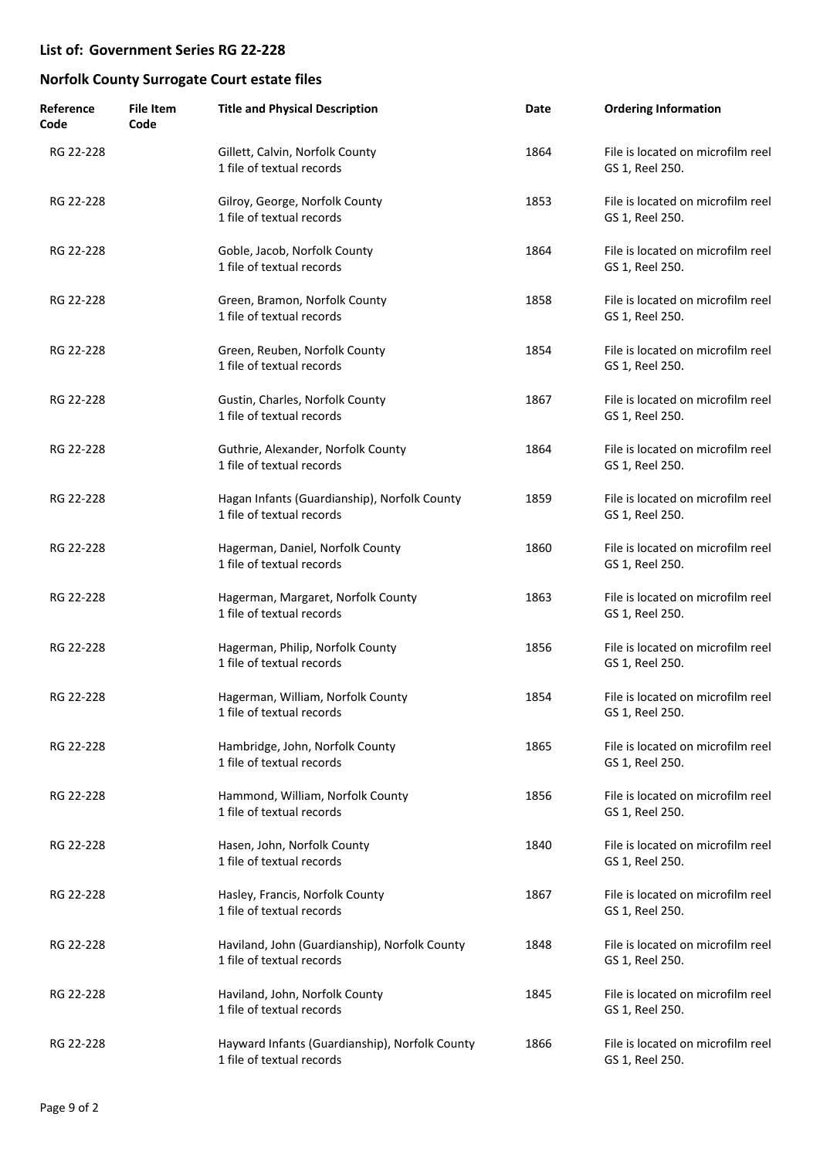| Reference<br>Code | <b>File Item</b><br>Code | <b>Title and Physical Description</b>                                       | Date | <b>Ordering Information</b>                          |
|-------------------|--------------------------|-----------------------------------------------------------------------------|------|------------------------------------------------------|
| RG 22-228         |                          | Gillett, Calvin, Norfolk County<br>1 file of textual records                | 1864 | File is located on microfilm reel<br>GS 1, Reel 250. |
| RG 22-228         |                          | Gilroy, George, Norfolk County<br>1 file of textual records                 | 1853 | File is located on microfilm reel<br>GS 1, Reel 250. |
| RG 22-228         |                          | Goble, Jacob, Norfolk County<br>1 file of textual records                   | 1864 | File is located on microfilm reel<br>GS 1, Reel 250. |
| RG 22-228         |                          | Green, Bramon, Norfolk County<br>1 file of textual records                  | 1858 | File is located on microfilm reel<br>GS 1, Reel 250. |
| RG 22-228         |                          | Green, Reuben, Norfolk County<br>1 file of textual records                  | 1854 | File is located on microfilm reel<br>GS 1, Reel 250. |
| RG 22-228         |                          | Gustin, Charles, Norfolk County<br>1 file of textual records                | 1867 | File is located on microfilm reel<br>GS 1, Reel 250. |
| RG 22-228         |                          | Guthrie, Alexander, Norfolk County<br>1 file of textual records             | 1864 | File is located on microfilm reel<br>GS 1, Reel 250. |
| RG 22-228         |                          | Hagan Infants (Guardianship), Norfolk County<br>1 file of textual records   | 1859 | File is located on microfilm reel<br>GS 1, Reel 250. |
| RG 22-228         |                          | Hagerman, Daniel, Norfolk County<br>1 file of textual records               | 1860 | File is located on microfilm reel<br>GS 1, Reel 250. |
| RG 22-228         |                          | Hagerman, Margaret, Norfolk County<br>1 file of textual records             | 1863 | File is located on microfilm reel<br>GS 1, Reel 250. |
| RG 22-228         |                          | Hagerman, Philip, Norfolk County<br>1 file of textual records               | 1856 | File is located on microfilm reel<br>GS 1, Reel 250. |
| RG 22-228         |                          | Hagerman, William, Norfolk County<br>1 file of textual records              | 1854 | File is located on microfilm reel<br>GS 1, Reel 250. |
| RG 22-228         |                          | Hambridge, John, Norfolk County<br>1 file of textual records                | 1865 | File is located on microfilm reel<br>GS 1, Reel 250. |
| RG 22-228         |                          | Hammond, William, Norfolk County<br>1 file of textual records               | 1856 | File is located on microfilm reel<br>GS 1, Reel 250. |
| RG 22-228         |                          | Hasen, John, Norfolk County<br>1 file of textual records                    | 1840 | File is located on microfilm reel<br>GS 1, Reel 250. |
| RG 22-228         |                          | Hasley, Francis, Norfolk County<br>1 file of textual records                | 1867 | File is located on microfilm reel<br>GS 1, Reel 250. |
| RG 22-228         |                          | Haviland, John (Guardianship), Norfolk County<br>1 file of textual records  | 1848 | File is located on microfilm reel<br>GS 1, Reel 250. |
| RG 22-228         |                          | Haviland, John, Norfolk County<br>1 file of textual records                 | 1845 | File is located on microfilm reel<br>GS 1, Reel 250. |
| RG 22-228         |                          | Hayward Infants (Guardianship), Norfolk County<br>1 file of textual records | 1866 | File is located on microfilm reel<br>GS 1, Reel 250. |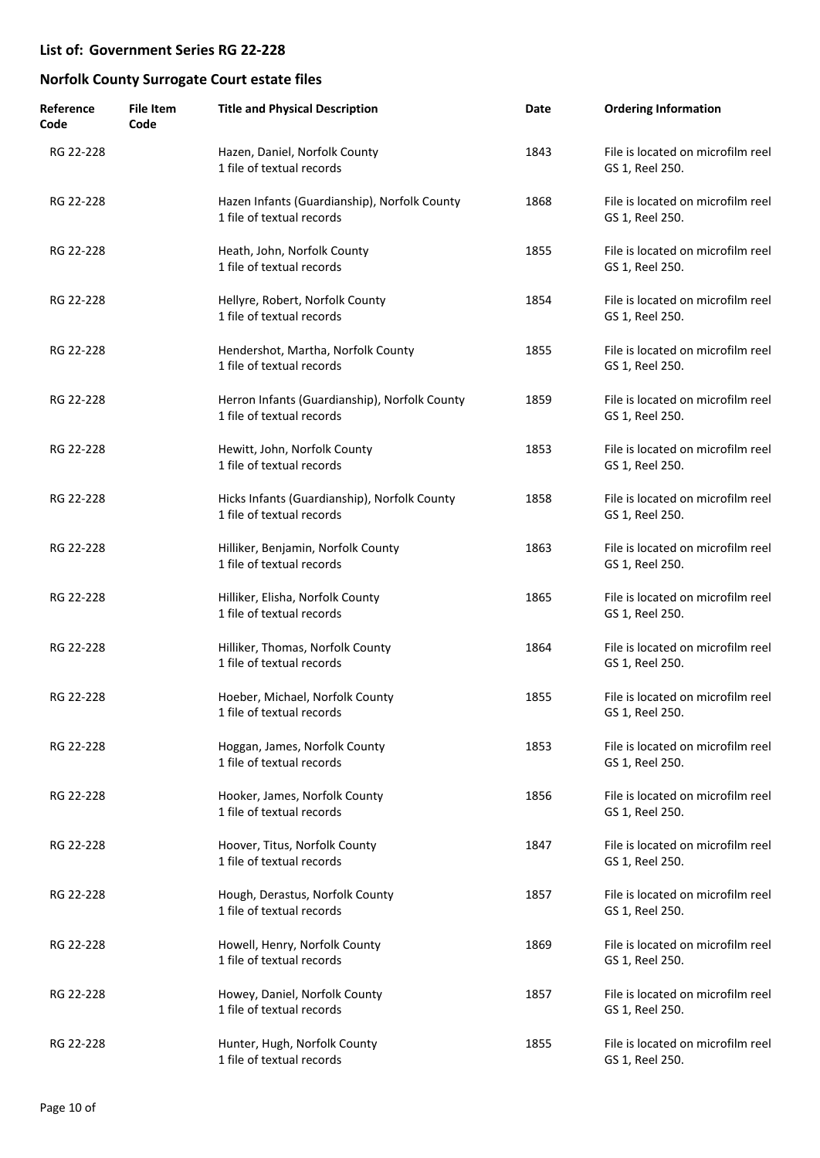| Reference<br>Code | <b>File Item</b><br>Code | <b>Title and Physical Description</b>                                      | Date | <b>Ordering Information</b>                          |
|-------------------|--------------------------|----------------------------------------------------------------------------|------|------------------------------------------------------|
| RG 22-228         |                          | Hazen, Daniel, Norfolk County<br>1 file of textual records                 | 1843 | File is located on microfilm reel<br>GS 1, Reel 250. |
| RG 22-228         |                          | Hazen Infants (Guardianship), Norfolk County<br>1 file of textual records  | 1868 | File is located on microfilm reel<br>GS 1, Reel 250. |
| RG 22-228         |                          | Heath, John, Norfolk County<br>1 file of textual records                   | 1855 | File is located on microfilm reel<br>GS 1, Reel 250. |
| RG 22-228         |                          | Hellyre, Robert, Norfolk County<br>1 file of textual records               | 1854 | File is located on microfilm reel<br>GS 1, Reel 250. |
| RG 22-228         |                          | Hendershot, Martha, Norfolk County<br>1 file of textual records            | 1855 | File is located on microfilm reel<br>GS 1, Reel 250. |
| RG 22-228         |                          | Herron Infants (Guardianship), Norfolk County<br>1 file of textual records | 1859 | File is located on microfilm reel<br>GS 1, Reel 250. |
| RG 22-228         |                          | Hewitt, John, Norfolk County<br>1 file of textual records                  | 1853 | File is located on microfilm reel<br>GS 1, Reel 250. |
| RG 22-228         |                          | Hicks Infants (Guardianship), Norfolk County<br>1 file of textual records  | 1858 | File is located on microfilm reel<br>GS 1, Reel 250. |
| RG 22-228         |                          | Hilliker, Benjamin, Norfolk County<br>1 file of textual records            | 1863 | File is located on microfilm reel<br>GS 1, Reel 250. |
| RG 22-228         |                          | Hilliker, Elisha, Norfolk County<br>1 file of textual records              | 1865 | File is located on microfilm reel<br>GS 1, Reel 250. |
| RG 22-228         |                          | Hilliker, Thomas, Norfolk County<br>1 file of textual records              | 1864 | File is located on microfilm reel<br>GS 1, Reel 250. |
| RG 22-228         |                          | Hoeber, Michael, Norfolk County<br>1 file of textual records               | 1855 | File is located on microfilm reel<br>GS 1, Reel 250. |
| RG 22-228         |                          | Hoggan, James, Norfolk County<br>1 file of textual records                 | 1853 | File is located on microfilm reel<br>GS 1, Reel 250. |
| RG 22-228         |                          | Hooker, James, Norfolk County<br>1 file of textual records                 | 1856 | File is located on microfilm reel<br>GS 1, Reel 250. |
| RG 22-228         |                          | Hoover, Titus, Norfolk County<br>1 file of textual records                 | 1847 | File is located on microfilm reel<br>GS 1, Reel 250. |
| RG 22-228         |                          | Hough, Derastus, Norfolk County<br>1 file of textual records               | 1857 | File is located on microfilm reel<br>GS 1, Reel 250. |
| RG 22-228         |                          | Howell, Henry, Norfolk County<br>1 file of textual records                 | 1869 | File is located on microfilm reel<br>GS 1, Reel 250. |
| RG 22-228         |                          | Howey, Daniel, Norfolk County<br>1 file of textual records                 | 1857 | File is located on microfilm reel<br>GS 1, Reel 250. |
| RG 22-228         |                          | Hunter, Hugh, Norfolk County<br>1 file of textual records                  | 1855 | File is located on microfilm reel<br>GS 1, Reel 250. |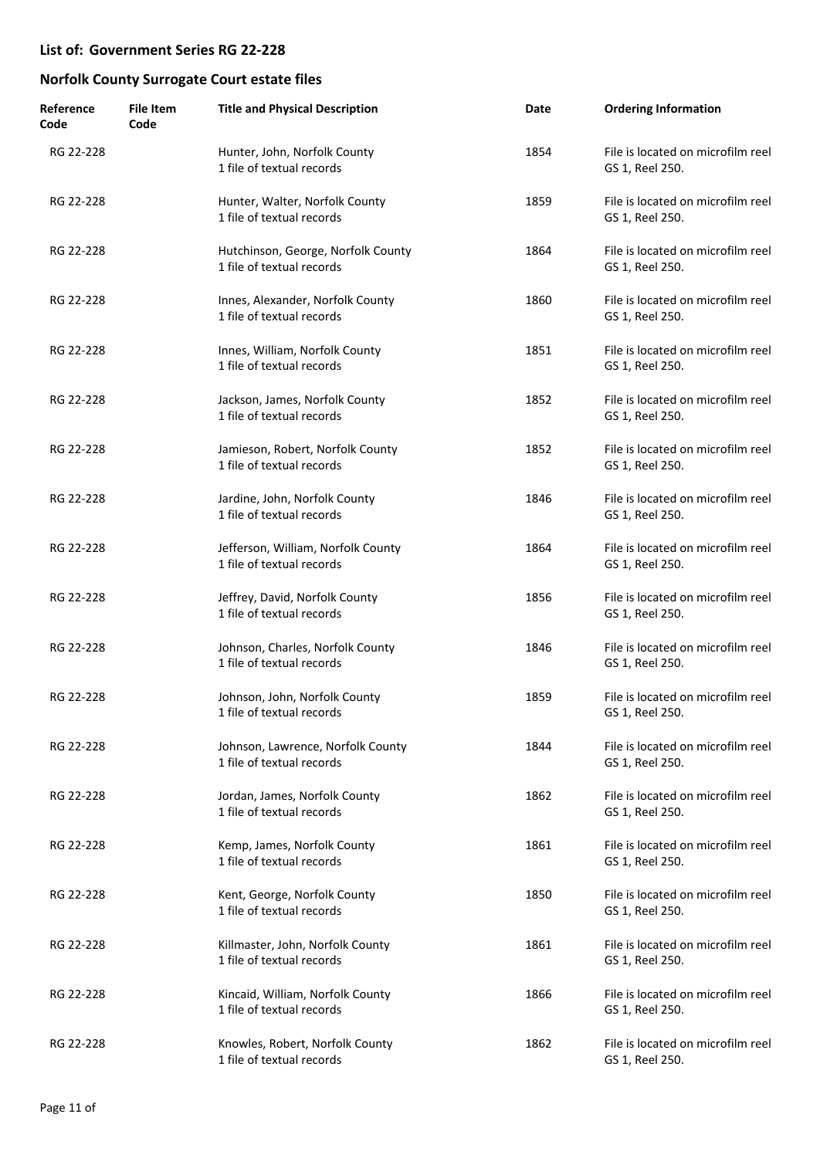| Reference<br>Code | <b>File Item</b><br>Code | <b>Title and Physical Description</b>                           | Date | <b>Ordering Information</b>                          |
|-------------------|--------------------------|-----------------------------------------------------------------|------|------------------------------------------------------|
| RG 22-228         |                          | Hunter, John, Norfolk County<br>1 file of textual records       | 1854 | File is located on microfilm reel<br>GS 1, Reel 250. |
| RG 22-228         |                          | Hunter, Walter, Norfolk County<br>1 file of textual records     | 1859 | File is located on microfilm reel<br>GS 1, Reel 250. |
| RG 22-228         |                          | Hutchinson, George, Norfolk County<br>1 file of textual records | 1864 | File is located on microfilm reel<br>GS 1, Reel 250. |
| RG 22-228         |                          | Innes, Alexander, Norfolk County<br>1 file of textual records   | 1860 | File is located on microfilm reel<br>GS 1, Reel 250. |
| RG 22-228         |                          | Innes, William, Norfolk County<br>1 file of textual records     | 1851 | File is located on microfilm reel<br>GS 1, Reel 250. |
| RG 22-228         |                          | Jackson, James, Norfolk County<br>1 file of textual records     | 1852 | File is located on microfilm reel<br>GS 1, Reel 250. |
| RG 22-228         |                          | Jamieson, Robert, Norfolk County<br>1 file of textual records   | 1852 | File is located on microfilm reel<br>GS 1, Reel 250. |
| RG 22-228         |                          | Jardine, John, Norfolk County<br>1 file of textual records      | 1846 | File is located on microfilm reel<br>GS 1, Reel 250. |
| RG 22-228         |                          | Jefferson, William, Norfolk County<br>1 file of textual records | 1864 | File is located on microfilm reel<br>GS 1, Reel 250. |
| RG 22-228         |                          | Jeffrey, David, Norfolk County<br>1 file of textual records     | 1856 | File is located on microfilm reel<br>GS 1, Reel 250. |
| RG 22-228         |                          | Johnson, Charles, Norfolk County<br>1 file of textual records   | 1846 | File is located on microfilm reel<br>GS 1, Reel 250. |
| RG 22-228         |                          | Johnson, John, Norfolk County<br>1 file of textual records      | 1859 | File is located on microfilm reel<br>GS 1, Reel 250. |
| RG 22-228         |                          | Johnson, Lawrence, Norfolk County<br>1 file of textual records  | 1844 | File is located on microfilm reel<br>GS 1, Reel 250. |
| RG 22-228         |                          | Jordan, James, Norfolk County<br>1 file of textual records      | 1862 | File is located on microfilm reel<br>GS 1, Reel 250. |
| RG 22-228         |                          | Kemp, James, Norfolk County<br>1 file of textual records        | 1861 | File is located on microfilm reel<br>GS 1, Reel 250. |
| RG 22-228         |                          | Kent, George, Norfolk County<br>1 file of textual records       | 1850 | File is located on microfilm reel<br>GS 1, Reel 250. |
| RG 22-228         |                          | Killmaster, John, Norfolk County<br>1 file of textual records   | 1861 | File is located on microfilm reel<br>GS 1, Reel 250. |
| RG 22-228         |                          | Kincaid, William, Norfolk County<br>1 file of textual records   | 1866 | File is located on microfilm reel<br>GS 1, Reel 250. |
| RG 22-228         |                          | Knowles, Robert, Norfolk County<br>1 file of textual records    | 1862 | File is located on microfilm reel<br>GS 1, Reel 250. |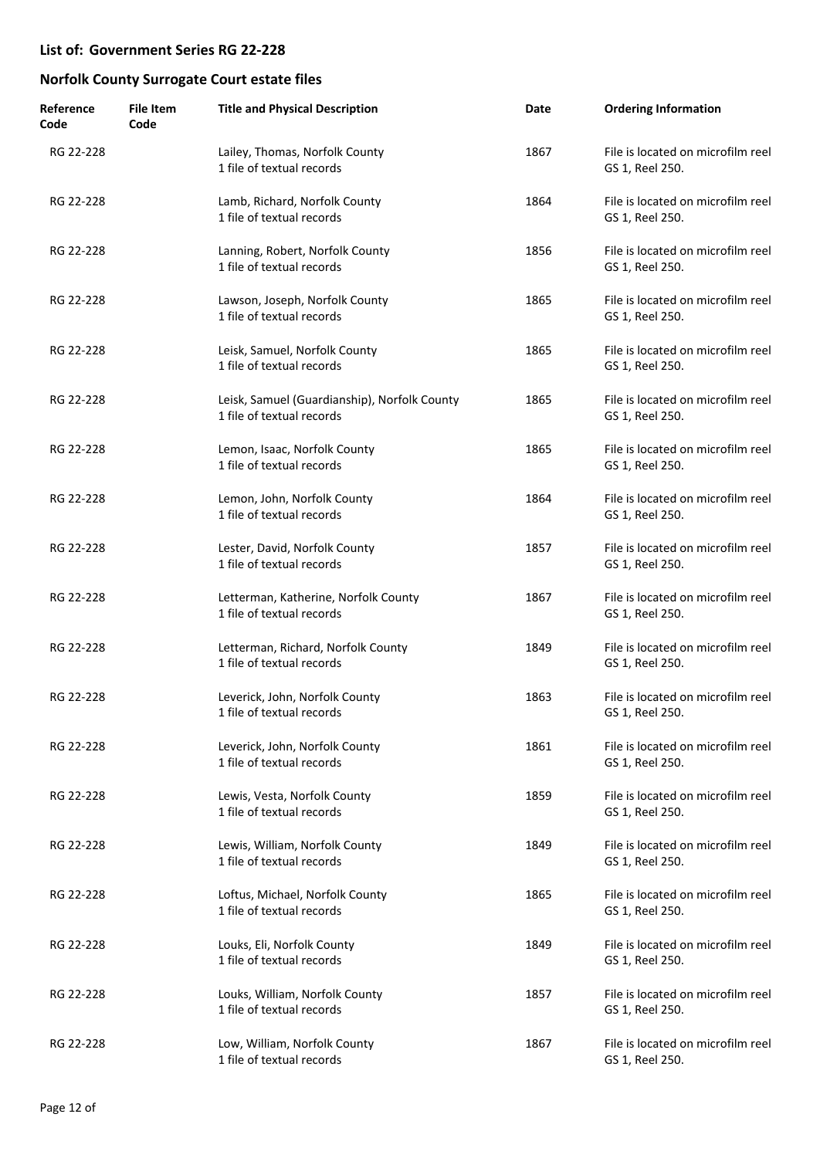| Reference<br>Code | <b>File Item</b><br>Code | <b>Title and Physical Description</b>                                     | Date | <b>Ordering Information</b>                          |
|-------------------|--------------------------|---------------------------------------------------------------------------|------|------------------------------------------------------|
| RG 22-228         |                          | Lailey, Thomas, Norfolk County<br>1 file of textual records               | 1867 | File is located on microfilm reel<br>GS 1, Reel 250. |
| RG 22-228         |                          | Lamb, Richard, Norfolk County<br>1 file of textual records                | 1864 | File is located on microfilm reel<br>GS 1, Reel 250. |
| RG 22-228         |                          | Lanning, Robert, Norfolk County<br>1 file of textual records              | 1856 | File is located on microfilm reel<br>GS 1, Reel 250. |
| RG 22-228         |                          | Lawson, Joseph, Norfolk County<br>1 file of textual records               | 1865 | File is located on microfilm reel<br>GS 1, Reel 250. |
| RG 22-228         |                          | Leisk, Samuel, Norfolk County<br>1 file of textual records                | 1865 | File is located on microfilm reel<br>GS 1, Reel 250. |
| RG 22-228         |                          | Leisk, Samuel (Guardianship), Norfolk County<br>1 file of textual records | 1865 | File is located on microfilm reel<br>GS 1, Reel 250. |
| RG 22-228         |                          | Lemon, Isaac, Norfolk County<br>1 file of textual records                 | 1865 | File is located on microfilm reel<br>GS 1, Reel 250. |
| RG 22-228         |                          | Lemon, John, Norfolk County<br>1 file of textual records                  | 1864 | File is located on microfilm reel<br>GS 1, Reel 250. |
| RG 22-228         |                          | Lester, David, Norfolk County<br>1 file of textual records                | 1857 | File is located on microfilm reel<br>GS 1, Reel 250. |
| RG 22-228         |                          | Letterman, Katherine, Norfolk County<br>1 file of textual records         | 1867 | File is located on microfilm reel<br>GS 1, Reel 250. |
| RG 22-228         |                          | Letterman, Richard, Norfolk County<br>1 file of textual records           | 1849 | File is located on microfilm reel<br>GS 1, Reel 250. |
| RG 22-228         |                          | Leverick, John, Norfolk County<br>1 file of textual records               | 1863 | File is located on microfilm reel<br>GS 1, Reel 250. |
| RG 22-228         |                          | Leverick, John, Norfolk County<br>1 file of textual records               | 1861 | File is located on microfilm reel<br>GS 1, Reel 250. |
| RG 22-228         |                          | Lewis, Vesta, Norfolk County<br>1 file of textual records                 | 1859 | File is located on microfilm reel<br>GS 1, Reel 250. |
| RG 22-228         |                          | Lewis, William, Norfolk County<br>1 file of textual records               | 1849 | File is located on microfilm reel<br>GS 1, Reel 250. |
| RG 22-228         |                          | Loftus, Michael, Norfolk County<br>1 file of textual records              | 1865 | File is located on microfilm reel<br>GS 1, Reel 250. |
| RG 22-228         |                          | Louks, Eli, Norfolk County<br>1 file of textual records                   | 1849 | File is located on microfilm reel<br>GS 1, Reel 250. |
| RG 22-228         |                          | Louks, William, Norfolk County<br>1 file of textual records               | 1857 | File is located on microfilm reel<br>GS 1, Reel 250. |
| RG 22-228         |                          | Low, William, Norfolk County<br>1 file of textual records                 | 1867 | File is located on microfilm reel<br>GS 1, Reel 250. |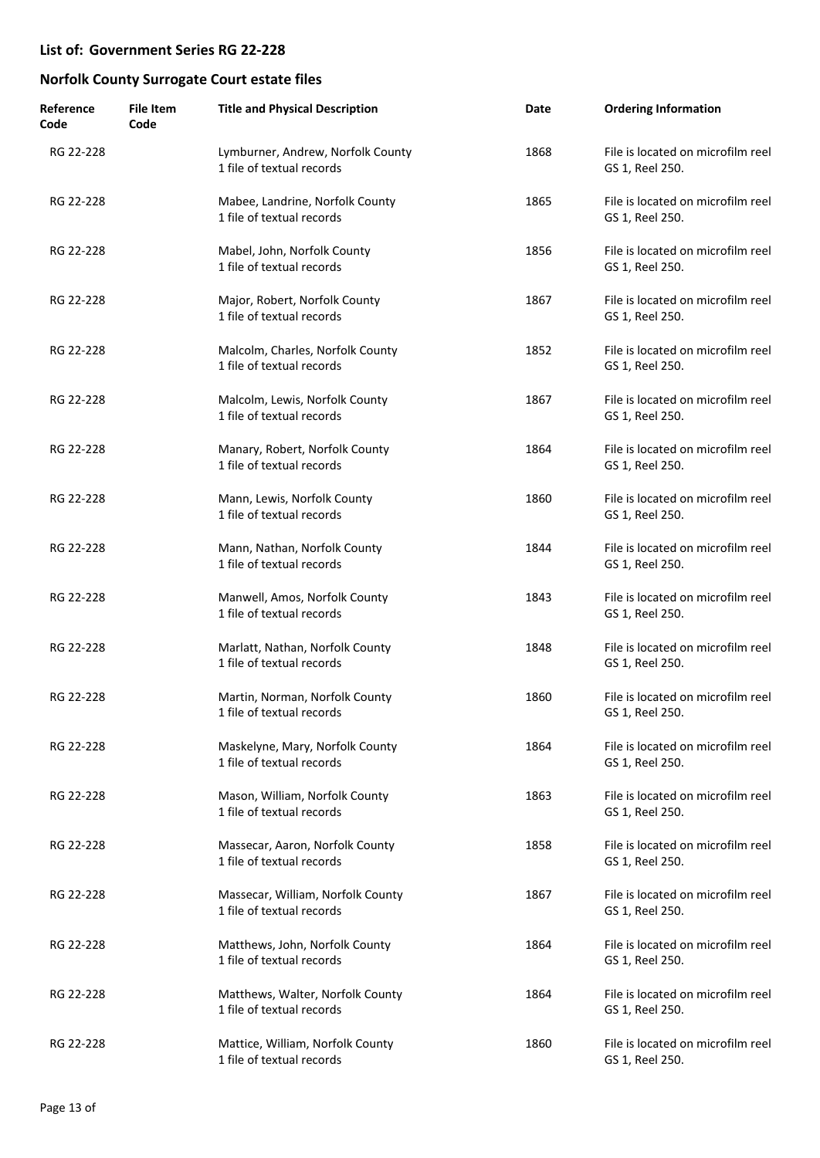| Reference<br>Code | <b>File Item</b><br>Code | <b>Title and Physical Description</b>                          | Date | <b>Ordering Information</b>                          |
|-------------------|--------------------------|----------------------------------------------------------------|------|------------------------------------------------------|
| RG 22-228         |                          | Lymburner, Andrew, Norfolk County<br>1 file of textual records | 1868 | File is located on microfilm reel<br>GS 1, Reel 250. |
| RG 22-228         |                          | Mabee, Landrine, Norfolk County<br>1 file of textual records   | 1865 | File is located on microfilm reel<br>GS 1, Reel 250. |
| RG 22-228         |                          | Mabel, John, Norfolk County<br>1 file of textual records       | 1856 | File is located on microfilm reel<br>GS 1, Reel 250. |
| RG 22-228         |                          | Major, Robert, Norfolk County<br>1 file of textual records     | 1867 | File is located on microfilm reel<br>GS 1, Reel 250. |
| RG 22-228         |                          | Malcolm, Charles, Norfolk County<br>1 file of textual records  | 1852 | File is located on microfilm reel<br>GS 1, Reel 250. |
| RG 22-228         |                          | Malcolm, Lewis, Norfolk County<br>1 file of textual records    | 1867 | File is located on microfilm reel<br>GS 1, Reel 250. |
| RG 22-228         |                          | Manary, Robert, Norfolk County<br>1 file of textual records    | 1864 | File is located on microfilm reel<br>GS 1, Reel 250. |
| RG 22-228         |                          | Mann, Lewis, Norfolk County<br>1 file of textual records       | 1860 | File is located on microfilm reel<br>GS 1, Reel 250. |
| RG 22-228         |                          | Mann, Nathan, Norfolk County<br>1 file of textual records      | 1844 | File is located on microfilm reel<br>GS 1, Reel 250. |
| RG 22-228         |                          | Manwell, Amos, Norfolk County<br>1 file of textual records     | 1843 | File is located on microfilm reel<br>GS 1, Reel 250. |
| RG 22-228         |                          | Marlatt, Nathan, Norfolk County<br>1 file of textual records   | 1848 | File is located on microfilm reel<br>GS 1, Reel 250. |
| RG 22-228         |                          | Martin, Norman, Norfolk County<br>1 file of textual records    | 1860 | File is located on microfilm reel<br>GS 1, Reel 250. |
| RG 22-228         |                          | Maskelyne, Mary, Norfolk County<br>1 file of textual records   | 1864 | File is located on microfilm reel<br>GS 1, Reel 250. |
| RG 22-228         |                          | Mason, William, Norfolk County<br>1 file of textual records    | 1863 | File is located on microfilm reel<br>GS 1, Reel 250. |
| RG 22-228         |                          | Massecar, Aaron, Norfolk County<br>1 file of textual records   | 1858 | File is located on microfilm reel<br>GS 1, Reel 250. |
| RG 22-228         |                          | Massecar, William, Norfolk County<br>1 file of textual records | 1867 | File is located on microfilm reel<br>GS 1, Reel 250. |
| RG 22-228         |                          | Matthews, John, Norfolk County<br>1 file of textual records    | 1864 | File is located on microfilm reel<br>GS 1, Reel 250. |
| RG 22-228         |                          | Matthews, Walter, Norfolk County<br>1 file of textual records  | 1864 | File is located on microfilm reel<br>GS 1, Reel 250. |
| RG 22-228         |                          | Mattice, William, Norfolk County<br>1 file of textual records  | 1860 | File is located on microfilm reel<br>GS 1, Reel 250. |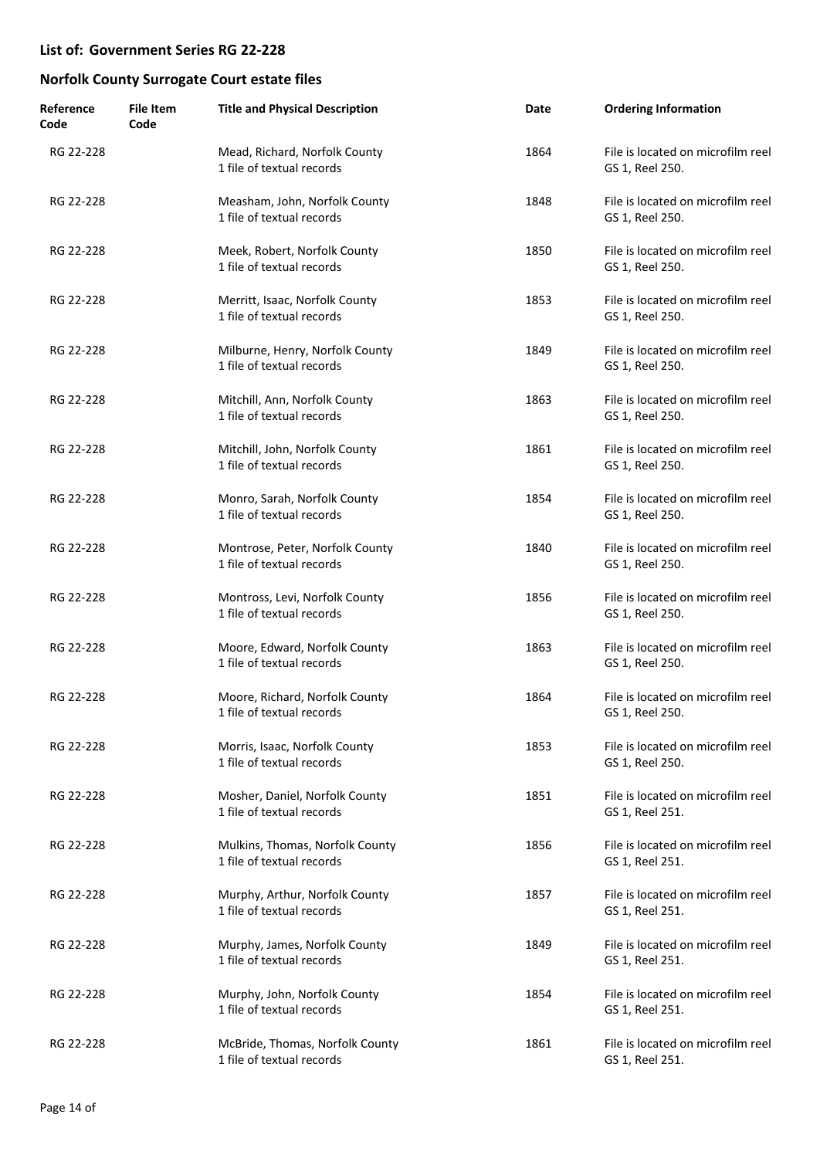| Reference<br>Code | <b>File Item</b><br>Code | <b>Title and Physical Description</b>                        | Date | <b>Ordering Information</b>                          |
|-------------------|--------------------------|--------------------------------------------------------------|------|------------------------------------------------------|
| RG 22-228         |                          | Mead, Richard, Norfolk County<br>1 file of textual records   | 1864 | File is located on microfilm reel<br>GS 1, Reel 250. |
| RG 22-228         |                          | Measham, John, Norfolk County<br>1 file of textual records   | 1848 | File is located on microfilm reel<br>GS 1, Reel 250. |
| RG 22-228         |                          | Meek, Robert, Norfolk County<br>1 file of textual records    | 1850 | File is located on microfilm reel<br>GS 1, Reel 250. |
| RG 22-228         |                          | Merritt, Isaac, Norfolk County<br>1 file of textual records  | 1853 | File is located on microfilm reel<br>GS 1, Reel 250. |
| RG 22-228         |                          | Milburne, Henry, Norfolk County<br>1 file of textual records | 1849 | File is located on microfilm reel<br>GS 1, Reel 250. |
| RG 22-228         |                          | Mitchill, Ann, Norfolk County<br>1 file of textual records   | 1863 | File is located on microfilm reel<br>GS 1, Reel 250. |
| RG 22-228         |                          | Mitchill, John, Norfolk County<br>1 file of textual records  | 1861 | File is located on microfilm reel<br>GS 1, Reel 250. |
| RG 22-228         |                          | Monro, Sarah, Norfolk County<br>1 file of textual records    | 1854 | File is located on microfilm reel<br>GS 1, Reel 250. |
| RG 22-228         |                          | Montrose, Peter, Norfolk County<br>1 file of textual records | 1840 | File is located on microfilm reel<br>GS 1, Reel 250. |
| RG 22-228         |                          | Montross, Levi, Norfolk County<br>1 file of textual records  | 1856 | File is located on microfilm reel<br>GS 1, Reel 250. |
| RG 22-228         |                          | Moore, Edward, Norfolk County<br>1 file of textual records   | 1863 | File is located on microfilm reel<br>GS 1, Reel 250. |
| RG 22-228         |                          | Moore, Richard, Norfolk County<br>1 file of textual records  | 1864 | File is located on microfilm reel<br>GS 1, Reel 250. |
| RG 22-228         |                          | Morris, Isaac, Norfolk County<br>1 file of textual records   | 1853 | File is located on microfilm reel<br>GS 1, Reel 250. |
| RG 22-228         |                          | Mosher, Daniel, Norfolk County<br>1 file of textual records  | 1851 | File is located on microfilm reel<br>GS 1, Reel 251. |
| RG 22-228         |                          | Mulkins, Thomas, Norfolk County<br>1 file of textual records | 1856 | File is located on microfilm reel<br>GS 1, Reel 251. |
| RG 22-228         |                          | Murphy, Arthur, Norfolk County<br>1 file of textual records  | 1857 | File is located on microfilm reel<br>GS 1, Reel 251. |
| RG 22-228         |                          | Murphy, James, Norfolk County<br>1 file of textual records   | 1849 | File is located on microfilm reel<br>GS 1, Reel 251. |
| RG 22-228         |                          | Murphy, John, Norfolk County<br>1 file of textual records    | 1854 | File is located on microfilm reel<br>GS 1, Reel 251. |
| RG 22-228         |                          | McBride, Thomas, Norfolk County<br>1 file of textual records | 1861 | File is located on microfilm reel<br>GS 1, Reel 251. |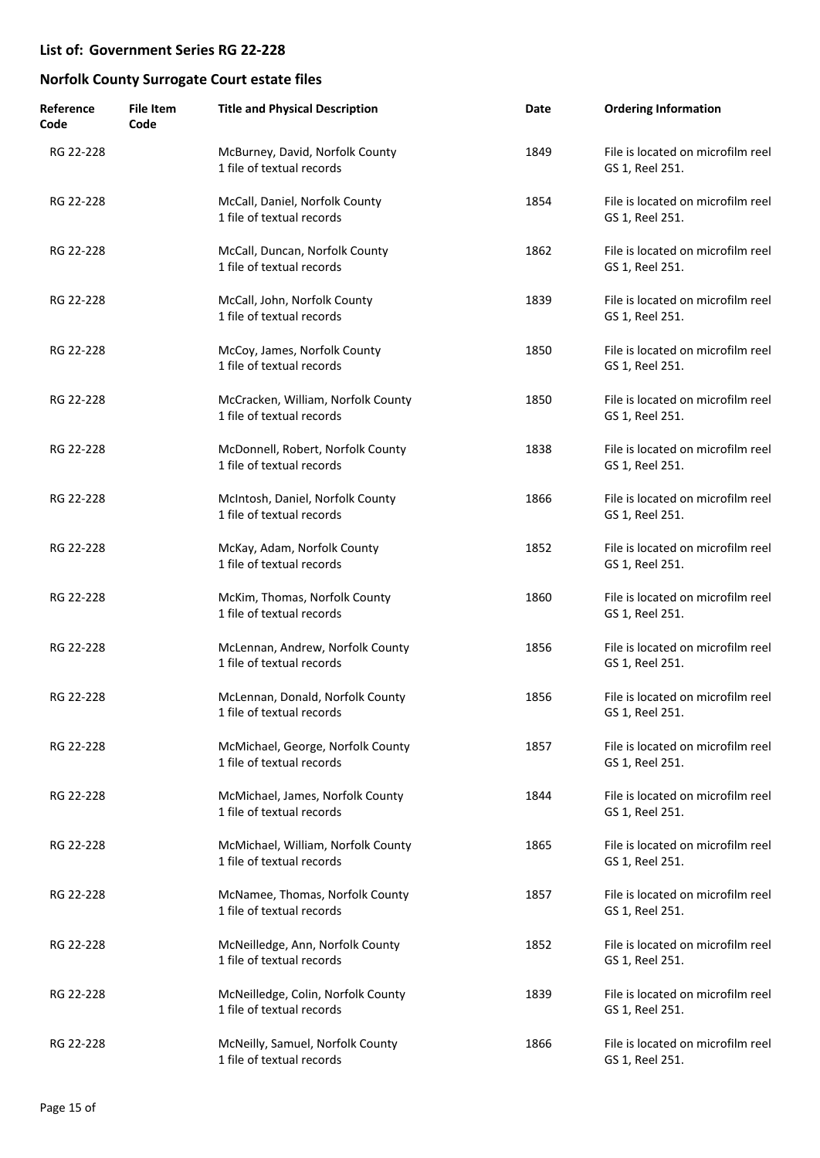| Reference<br>Code | <b>File Item</b><br>Code | <b>Title and Physical Description</b>                           | Date | <b>Ordering Information</b>                          |
|-------------------|--------------------------|-----------------------------------------------------------------|------|------------------------------------------------------|
| RG 22-228         |                          | McBurney, David, Norfolk County<br>1 file of textual records    | 1849 | File is located on microfilm reel<br>GS 1, Reel 251. |
| RG 22-228         |                          | McCall, Daniel, Norfolk County<br>1 file of textual records     | 1854 | File is located on microfilm reel<br>GS 1, Reel 251. |
| RG 22-228         |                          | McCall, Duncan, Norfolk County<br>1 file of textual records     | 1862 | File is located on microfilm reel<br>GS 1, Reel 251. |
| RG 22-228         |                          | McCall, John, Norfolk County<br>1 file of textual records       | 1839 | File is located on microfilm reel<br>GS 1, Reel 251. |
| RG 22-228         |                          | McCoy, James, Norfolk County<br>1 file of textual records       | 1850 | File is located on microfilm reel<br>GS 1, Reel 251. |
| RG 22-228         |                          | McCracken, William, Norfolk County<br>1 file of textual records | 1850 | File is located on microfilm reel<br>GS 1, Reel 251. |
| RG 22-228         |                          | McDonnell, Robert, Norfolk County<br>1 file of textual records  | 1838 | File is located on microfilm reel<br>GS 1, Reel 251. |
| RG 22-228         |                          | McIntosh, Daniel, Norfolk County<br>1 file of textual records   | 1866 | File is located on microfilm reel<br>GS 1, Reel 251. |
| RG 22-228         |                          | McKay, Adam, Norfolk County<br>1 file of textual records        | 1852 | File is located on microfilm reel<br>GS 1, Reel 251. |
| RG 22-228         |                          | McKim, Thomas, Norfolk County<br>1 file of textual records      | 1860 | File is located on microfilm reel<br>GS 1, Reel 251. |
| RG 22-228         |                          | McLennan, Andrew, Norfolk County<br>1 file of textual records   | 1856 | File is located on microfilm reel<br>GS 1, Reel 251. |
| RG 22-228         |                          | McLennan, Donald, Norfolk County<br>1 file of textual records   | 1856 | File is located on microfilm reel<br>GS 1, Reel 251. |
| RG 22-228         |                          | McMichael, George, Norfolk County<br>1 file of textual records  | 1857 | File is located on microfilm reel<br>GS 1, Reel 251. |
| RG 22-228         |                          | McMichael, James, Norfolk County<br>1 file of textual records   | 1844 | File is located on microfilm reel<br>GS 1, Reel 251. |
| RG 22-228         |                          | McMichael, William, Norfolk County<br>1 file of textual records | 1865 | File is located on microfilm reel<br>GS 1, Reel 251. |
| RG 22-228         |                          | McNamee, Thomas, Norfolk County<br>1 file of textual records    | 1857 | File is located on microfilm reel<br>GS 1, Reel 251. |
| RG 22-228         |                          | McNeilledge, Ann, Norfolk County<br>1 file of textual records   | 1852 | File is located on microfilm reel<br>GS 1, Reel 251. |
| RG 22-228         |                          | McNeilledge, Colin, Norfolk County<br>1 file of textual records | 1839 | File is located on microfilm reel<br>GS 1, Reel 251. |
| RG 22-228         |                          | McNeilly, Samuel, Norfolk County<br>1 file of textual records   | 1866 | File is located on microfilm reel<br>GS 1, Reel 251. |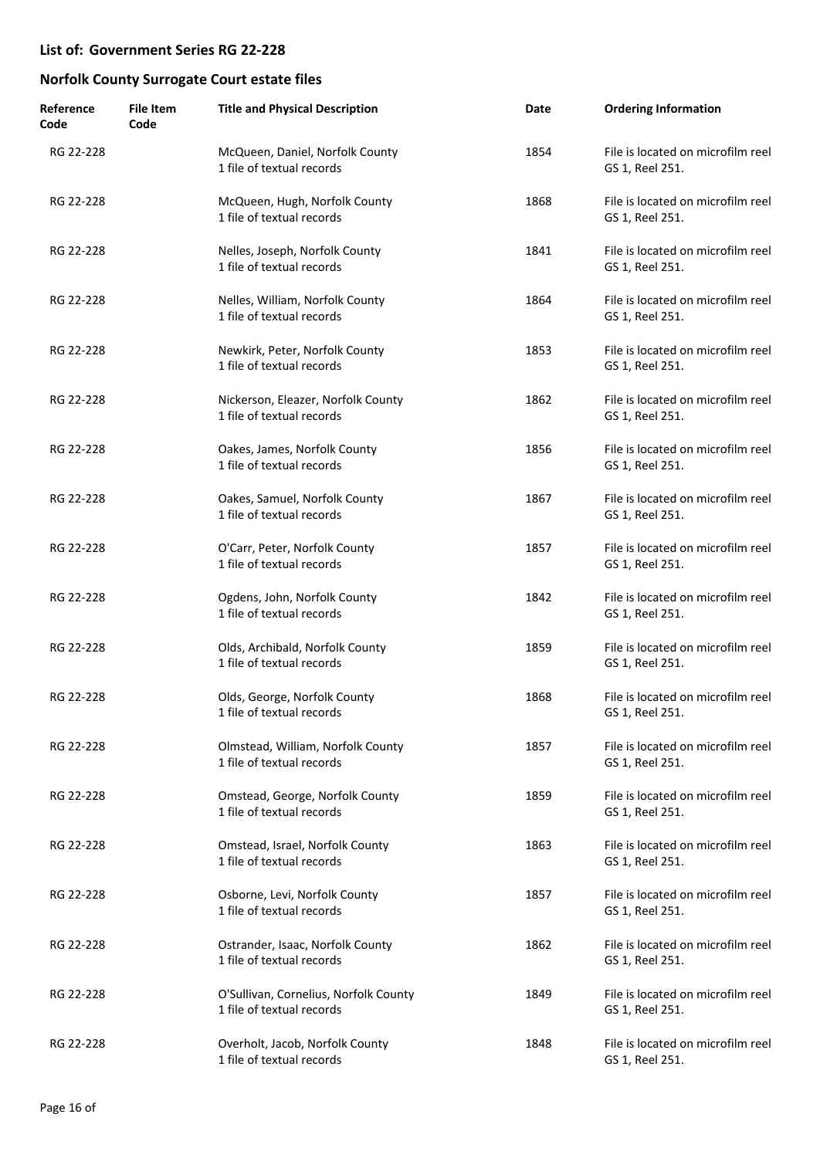| Reference<br>Code | <b>File Item</b><br>Code | <b>Title and Physical Description</b>                              | Date | <b>Ordering Information</b>                          |
|-------------------|--------------------------|--------------------------------------------------------------------|------|------------------------------------------------------|
| RG 22-228         |                          | McQueen, Daniel, Norfolk County<br>1 file of textual records       | 1854 | File is located on microfilm reel<br>GS 1, Reel 251. |
| RG 22-228         |                          | McQueen, Hugh, Norfolk County<br>1 file of textual records         | 1868 | File is located on microfilm reel<br>GS 1, Reel 251. |
| RG 22-228         |                          | Nelles, Joseph, Norfolk County<br>1 file of textual records        | 1841 | File is located on microfilm reel<br>GS 1, Reel 251. |
| RG 22-228         |                          | Nelles, William, Norfolk County<br>1 file of textual records       | 1864 | File is located on microfilm reel<br>GS 1, Reel 251. |
| RG 22-228         |                          | Newkirk, Peter, Norfolk County<br>1 file of textual records        | 1853 | File is located on microfilm reel<br>GS 1, Reel 251. |
| RG 22-228         |                          | Nickerson, Eleazer, Norfolk County<br>1 file of textual records    | 1862 | File is located on microfilm reel<br>GS 1, Reel 251. |
| RG 22-228         |                          | Oakes, James, Norfolk County<br>1 file of textual records          | 1856 | File is located on microfilm reel<br>GS 1, Reel 251. |
| RG 22-228         |                          | Oakes, Samuel, Norfolk County<br>1 file of textual records         | 1867 | File is located on microfilm reel<br>GS 1, Reel 251. |
| RG 22-228         |                          | O'Carr, Peter, Norfolk County<br>1 file of textual records         | 1857 | File is located on microfilm reel<br>GS 1, Reel 251. |
| RG 22-228         |                          | Ogdens, John, Norfolk County<br>1 file of textual records          | 1842 | File is located on microfilm reel<br>GS 1, Reel 251. |
| RG 22-228         |                          | Olds, Archibald, Norfolk County<br>1 file of textual records       | 1859 | File is located on microfilm reel<br>GS 1, Reel 251. |
| RG 22-228         |                          | Olds, George, Norfolk County<br>1 file of textual records          | 1868 | File is located on microfilm reel<br>GS 1, Reel 251. |
| RG 22-228         |                          | Olmstead, William, Norfolk County<br>1 file of textual records     | 1857 | File is located on microfilm reel<br>GS 1, Reel 251. |
| RG 22-228         |                          | Omstead, George, Norfolk County<br>1 file of textual records       | 1859 | File is located on microfilm reel<br>GS 1, Reel 251. |
| RG 22-228         |                          | Omstead, Israel, Norfolk County<br>1 file of textual records       | 1863 | File is located on microfilm reel<br>GS 1, Reel 251. |
| RG 22-228         |                          | Osborne, Levi, Norfolk County<br>1 file of textual records         | 1857 | File is located on microfilm reel<br>GS 1, Reel 251. |
| RG 22-228         |                          | Ostrander, Isaac, Norfolk County<br>1 file of textual records      | 1862 | File is located on microfilm reel<br>GS 1, Reel 251. |
| RG 22-228         |                          | O'Sullivan, Cornelius, Norfolk County<br>1 file of textual records | 1849 | File is located on microfilm reel<br>GS 1, Reel 251. |
| RG 22-228         |                          | Overholt, Jacob, Norfolk County<br>1 file of textual records       | 1848 | File is located on microfilm reel<br>GS 1, Reel 251. |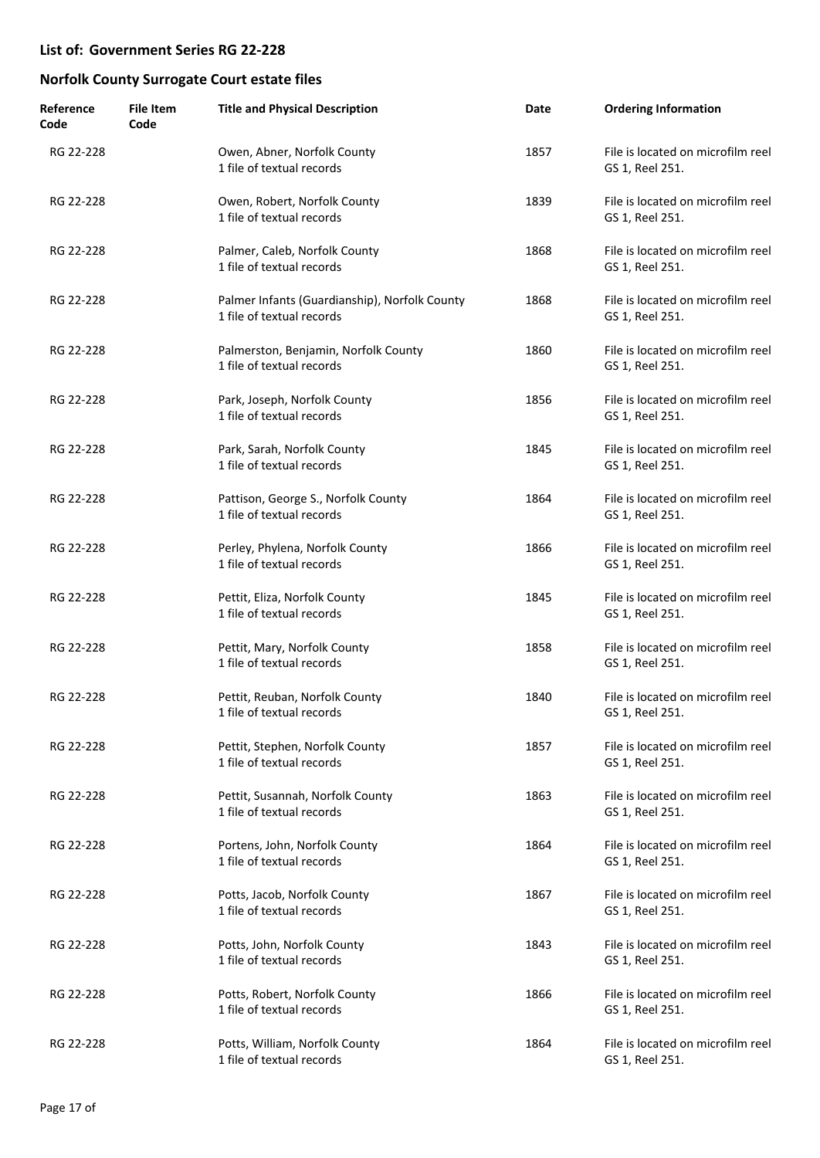| Reference<br>Code | <b>File Item</b><br>Code | <b>Title and Physical Description</b>                                      | Date | <b>Ordering Information</b>                          |
|-------------------|--------------------------|----------------------------------------------------------------------------|------|------------------------------------------------------|
| RG 22-228         |                          | Owen, Abner, Norfolk County<br>1 file of textual records                   | 1857 | File is located on microfilm reel<br>GS 1, Reel 251. |
| RG 22-228         |                          | Owen, Robert, Norfolk County<br>1 file of textual records                  | 1839 | File is located on microfilm reel<br>GS 1, Reel 251. |
| RG 22-228         |                          | Palmer, Caleb, Norfolk County<br>1 file of textual records                 | 1868 | File is located on microfilm reel<br>GS 1, Reel 251. |
| RG 22-228         |                          | Palmer Infants (Guardianship), Norfolk County<br>1 file of textual records | 1868 | File is located on microfilm reel<br>GS 1, Reel 251. |
| RG 22-228         |                          | Palmerston, Benjamin, Norfolk County<br>1 file of textual records          | 1860 | File is located on microfilm reel<br>GS 1, Reel 251. |
| RG 22-228         |                          | Park, Joseph, Norfolk County<br>1 file of textual records                  | 1856 | File is located on microfilm reel<br>GS 1, Reel 251. |
| RG 22-228         |                          | Park, Sarah, Norfolk County<br>1 file of textual records                   | 1845 | File is located on microfilm reel<br>GS 1, Reel 251. |
| RG 22-228         |                          | Pattison, George S., Norfolk County<br>1 file of textual records           | 1864 | File is located on microfilm reel<br>GS 1, Reel 251. |
| RG 22-228         |                          | Perley, Phylena, Norfolk County<br>1 file of textual records               | 1866 | File is located on microfilm reel<br>GS 1, Reel 251. |
| RG 22-228         |                          | Pettit, Eliza, Norfolk County<br>1 file of textual records                 | 1845 | File is located on microfilm reel<br>GS 1, Reel 251. |
| RG 22-228         |                          | Pettit, Mary, Norfolk County<br>1 file of textual records                  | 1858 | File is located on microfilm reel<br>GS 1, Reel 251. |
| RG 22-228         |                          | Pettit, Reuban, Norfolk County<br>1 file of textual records                | 1840 | File is located on microfilm reel<br>GS 1, Reel 251. |
| RG 22-228         |                          | Pettit, Stephen, Norfolk County<br>1 file of textual records               | 1857 | File is located on microfilm reel<br>GS 1, Reel 251. |
| RG 22-228         |                          | Pettit, Susannah, Norfolk County<br>1 file of textual records              | 1863 | File is located on microfilm reel<br>GS 1, Reel 251. |
| RG 22-228         |                          | Portens, John, Norfolk County<br>1 file of textual records                 | 1864 | File is located on microfilm reel<br>GS 1, Reel 251. |
| RG 22-228         |                          | Potts, Jacob, Norfolk County<br>1 file of textual records                  | 1867 | File is located on microfilm reel<br>GS 1, Reel 251. |
| RG 22-228         |                          | Potts, John, Norfolk County<br>1 file of textual records                   | 1843 | File is located on microfilm reel<br>GS 1, Reel 251. |
| RG 22-228         |                          | Potts, Robert, Norfolk County<br>1 file of textual records                 | 1866 | File is located on microfilm reel<br>GS 1, Reel 251. |
| RG 22-228         |                          | Potts, William, Norfolk County<br>1 file of textual records                | 1864 | File is located on microfilm reel<br>GS 1, Reel 251. |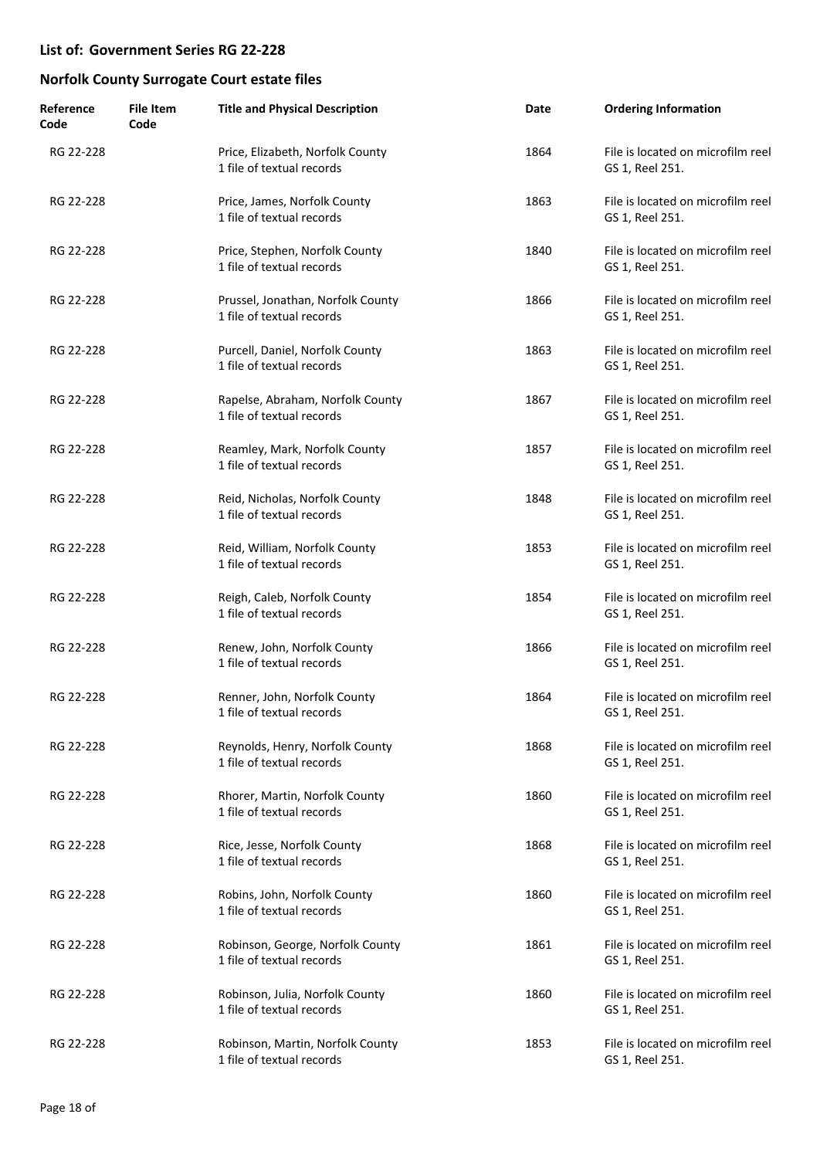| Reference<br>Code | <b>File Item</b><br>Code | <b>Title and Physical Description</b>                          | Date | <b>Ordering Information</b>                          |
|-------------------|--------------------------|----------------------------------------------------------------|------|------------------------------------------------------|
| RG 22-228         |                          | Price, Elizabeth, Norfolk County<br>1 file of textual records  | 1864 | File is located on microfilm reel<br>GS 1, Reel 251. |
| RG 22-228         |                          | Price, James, Norfolk County<br>1 file of textual records      | 1863 | File is located on microfilm reel<br>GS 1, Reel 251. |
| RG 22-228         |                          | Price, Stephen, Norfolk County<br>1 file of textual records    | 1840 | File is located on microfilm reel<br>GS 1, Reel 251. |
| RG 22-228         |                          | Prussel, Jonathan, Norfolk County<br>1 file of textual records | 1866 | File is located on microfilm reel<br>GS 1, Reel 251. |
| RG 22-228         |                          | Purcell, Daniel, Norfolk County<br>1 file of textual records   | 1863 | File is located on microfilm reel<br>GS 1, Reel 251. |
| RG 22-228         |                          | Rapelse, Abraham, Norfolk County<br>1 file of textual records  | 1867 | File is located on microfilm reel<br>GS 1, Reel 251. |
| RG 22-228         |                          | Reamley, Mark, Norfolk County<br>1 file of textual records     | 1857 | File is located on microfilm reel<br>GS 1, Reel 251. |
| RG 22-228         |                          | Reid, Nicholas, Norfolk County<br>1 file of textual records    | 1848 | File is located on microfilm reel<br>GS 1, Reel 251. |
| RG 22-228         |                          | Reid, William, Norfolk County<br>1 file of textual records     | 1853 | File is located on microfilm reel<br>GS 1, Reel 251. |
| RG 22-228         |                          | Reigh, Caleb, Norfolk County<br>1 file of textual records      | 1854 | File is located on microfilm reel<br>GS 1, Reel 251. |
| RG 22-228         |                          | Renew, John, Norfolk County<br>1 file of textual records       | 1866 | File is located on microfilm reel<br>GS 1, Reel 251. |
| RG 22-228         |                          | Renner, John, Norfolk County<br>1 file of textual records      | 1864 | File is located on microfilm reel<br>GS 1, Reel 251. |
| RG 22-228         |                          | Reynolds, Henry, Norfolk County<br>1 file of textual records   | 1868 | File is located on microfilm reel<br>GS 1, Reel 251. |
| RG 22-228         |                          | Rhorer, Martin, Norfolk County<br>1 file of textual records    | 1860 | File is located on microfilm reel<br>GS 1, Reel 251. |
| RG 22-228         |                          | Rice, Jesse, Norfolk County<br>1 file of textual records       | 1868 | File is located on microfilm reel<br>GS 1, Reel 251. |
| RG 22-228         |                          | Robins, John, Norfolk County<br>1 file of textual records      | 1860 | File is located on microfilm reel<br>GS 1, Reel 251. |
| RG 22-228         |                          | Robinson, George, Norfolk County<br>1 file of textual records  | 1861 | File is located on microfilm reel<br>GS 1, Reel 251. |
| RG 22-228         |                          | Robinson, Julia, Norfolk County<br>1 file of textual records   | 1860 | File is located on microfilm reel<br>GS 1, Reel 251. |
| RG 22-228         |                          | Robinson, Martin, Norfolk County<br>1 file of textual records  | 1853 | File is located on microfilm reel<br>GS 1, Reel 251. |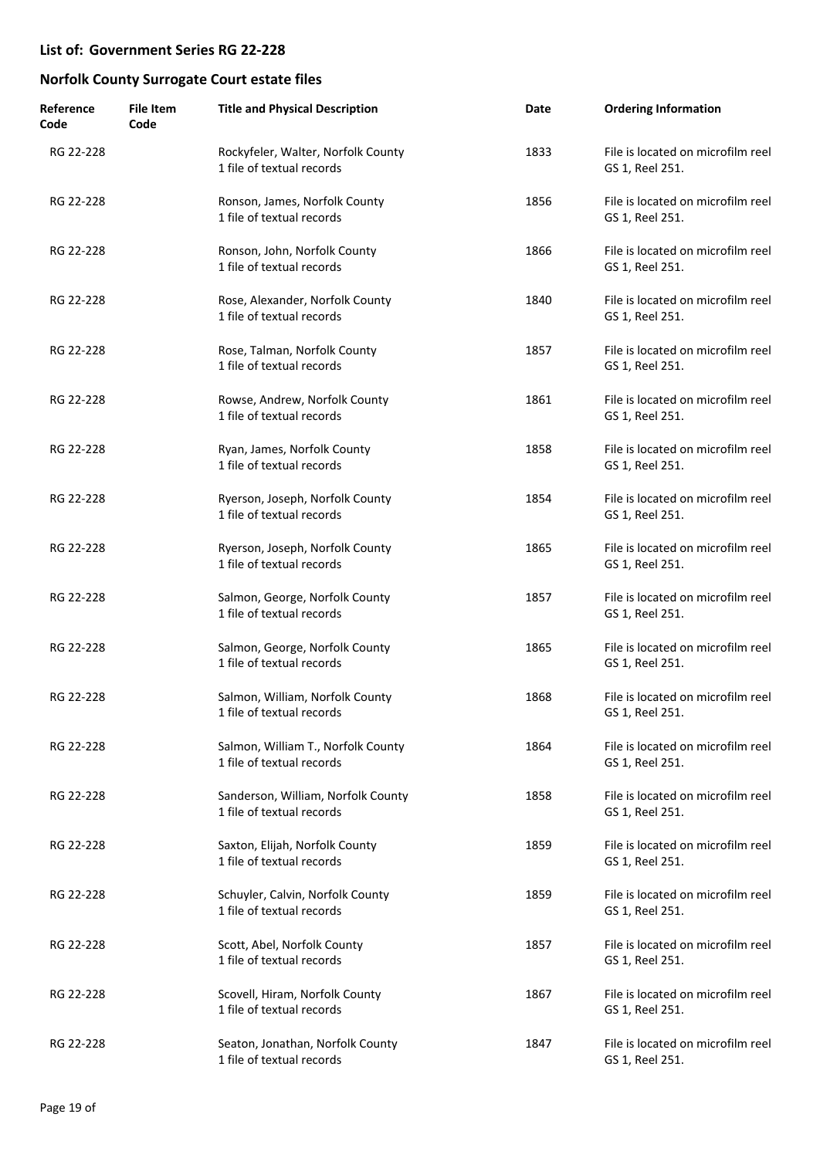| Reference<br>Code | <b>File Item</b><br>Code | <b>Title and Physical Description</b>                           | Date | <b>Ordering Information</b>                          |
|-------------------|--------------------------|-----------------------------------------------------------------|------|------------------------------------------------------|
| RG 22-228         |                          | Rockyfeler, Walter, Norfolk County<br>1 file of textual records | 1833 | File is located on microfilm reel<br>GS 1, Reel 251. |
| RG 22-228         |                          | Ronson, James, Norfolk County<br>1 file of textual records      | 1856 | File is located on microfilm reel<br>GS 1, Reel 251. |
| RG 22-228         |                          | Ronson, John, Norfolk County<br>1 file of textual records       | 1866 | File is located on microfilm reel<br>GS 1, Reel 251. |
| RG 22-228         |                          | Rose, Alexander, Norfolk County<br>1 file of textual records    | 1840 | File is located on microfilm reel<br>GS 1, Reel 251. |
| RG 22-228         |                          | Rose, Talman, Norfolk County<br>1 file of textual records       | 1857 | File is located on microfilm reel<br>GS 1, Reel 251. |
| RG 22-228         |                          | Rowse, Andrew, Norfolk County<br>1 file of textual records      | 1861 | File is located on microfilm reel<br>GS 1, Reel 251. |
| RG 22-228         |                          | Ryan, James, Norfolk County<br>1 file of textual records        | 1858 | File is located on microfilm reel<br>GS 1, Reel 251. |
| RG 22-228         |                          | Ryerson, Joseph, Norfolk County<br>1 file of textual records    | 1854 | File is located on microfilm reel<br>GS 1, Reel 251. |
| RG 22-228         |                          | Ryerson, Joseph, Norfolk County<br>1 file of textual records    | 1865 | File is located on microfilm reel<br>GS 1, Reel 251. |
| RG 22-228         |                          | Salmon, George, Norfolk County<br>1 file of textual records     | 1857 | File is located on microfilm reel<br>GS 1, Reel 251. |
| RG 22-228         |                          | Salmon, George, Norfolk County<br>1 file of textual records     | 1865 | File is located on microfilm reel<br>GS 1, Reel 251. |
| RG 22-228         |                          | Salmon, William, Norfolk County<br>1 file of textual records    | 1868 | File is located on microfilm reel<br>GS 1, Reel 251. |
| RG 22-228         |                          | Salmon, William T., Norfolk County<br>1 file of textual records | 1864 | File is located on microfilm reel<br>GS 1, Reel 251. |
| RG 22-228         |                          | Sanderson, William, Norfolk County<br>1 file of textual records | 1858 | File is located on microfilm reel<br>GS 1, Reel 251. |
| RG 22-228         |                          | Saxton, Elijah, Norfolk County<br>1 file of textual records     | 1859 | File is located on microfilm reel<br>GS 1, Reel 251. |
| RG 22-228         |                          | Schuyler, Calvin, Norfolk County<br>1 file of textual records   | 1859 | File is located on microfilm reel<br>GS 1, Reel 251. |
| RG 22-228         |                          | Scott, Abel, Norfolk County<br>1 file of textual records        | 1857 | File is located on microfilm reel<br>GS 1, Reel 251. |
| RG 22-228         |                          | Scovell, Hiram, Norfolk County<br>1 file of textual records     | 1867 | File is located on microfilm reel<br>GS 1, Reel 251. |
| RG 22-228         |                          | Seaton, Jonathan, Norfolk County<br>1 file of textual records   | 1847 | File is located on microfilm reel<br>GS 1, Reel 251. |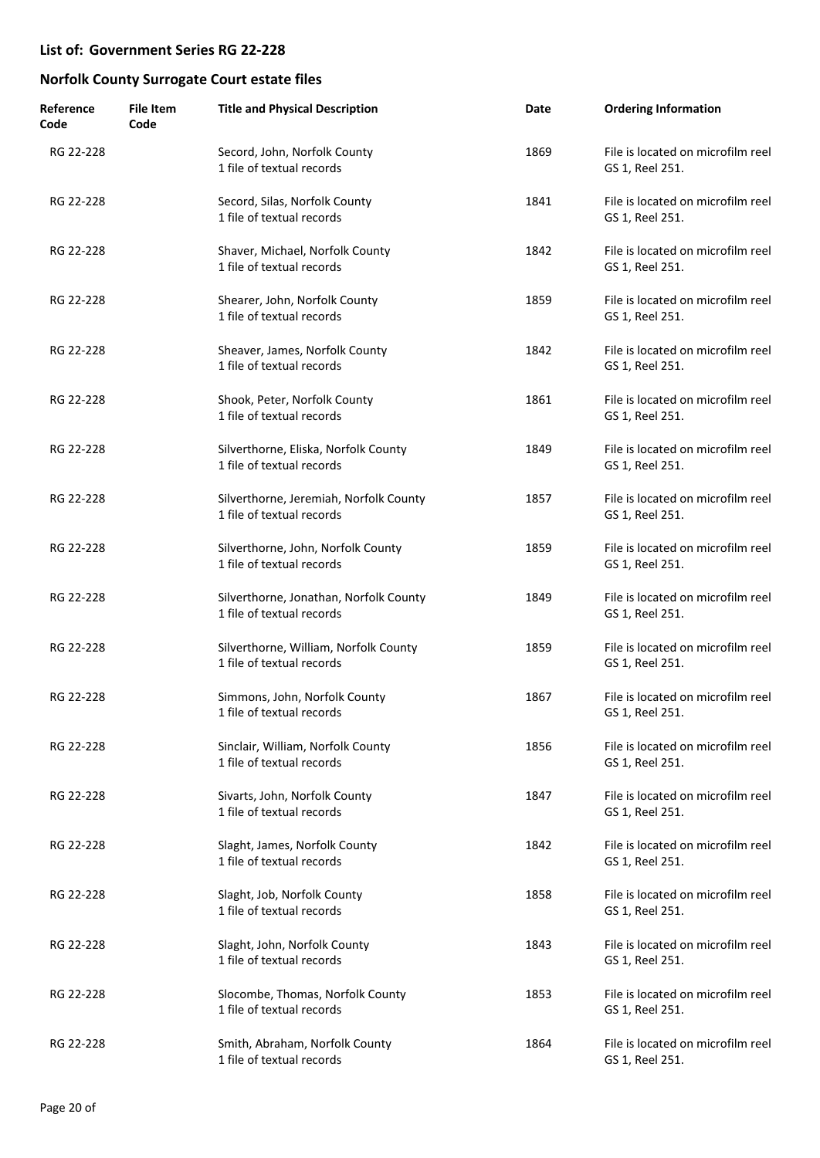| Reference<br>Code | <b>File Item</b><br>Code | <b>Title and Physical Description</b>                               | Date | <b>Ordering Information</b>                          |
|-------------------|--------------------------|---------------------------------------------------------------------|------|------------------------------------------------------|
| RG 22-228         |                          | Secord, John, Norfolk County<br>1 file of textual records           | 1869 | File is located on microfilm reel<br>GS 1, Reel 251. |
| RG 22-228         |                          | Secord, Silas, Norfolk County<br>1 file of textual records          | 1841 | File is located on microfilm reel<br>GS 1, Reel 251. |
| RG 22-228         |                          | Shaver, Michael, Norfolk County<br>1 file of textual records        | 1842 | File is located on microfilm reel<br>GS 1, Reel 251. |
| RG 22-228         |                          | Shearer, John, Norfolk County<br>1 file of textual records          | 1859 | File is located on microfilm reel<br>GS 1, Reel 251. |
| RG 22-228         |                          | Sheaver, James, Norfolk County<br>1 file of textual records         | 1842 | File is located on microfilm reel<br>GS 1, Reel 251. |
| RG 22-228         |                          | Shook, Peter, Norfolk County<br>1 file of textual records           | 1861 | File is located on microfilm reel<br>GS 1, Reel 251. |
| RG 22-228         |                          | Silverthorne, Eliska, Norfolk County<br>1 file of textual records   | 1849 | File is located on microfilm reel<br>GS 1, Reel 251. |
| RG 22-228         |                          | Silverthorne, Jeremiah, Norfolk County<br>1 file of textual records | 1857 | File is located on microfilm reel<br>GS 1, Reel 251. |
| RG 22-228         |                          | Silverthorne, John, Norfolk County<br>1 file of textual records     | 1859 | File is located on microfilm reel<br>GS 1, Reel 251. |
| RG 22-228         |                          | Silverthorne, Jonathan, Norfolk County<br>1 file of textual records | 1849 | File is located on microfilm reel<br>GS 1, Reel 251. |
| RG 22-228         |                          | Silverthorne, William, Norfolk County<br>1 file of textual records  | 1859 | File is located on microfilm reel<br>GS 1, Reel 251. |
| RG 22-228         |                          | Simmons, John, Norfolk County<br>1 file of textual records          | 1867 | File is located on microfilm reel<br>GS 1, Reel 251. |
| RG 22-228         |                          | Sinclair, William, Norfolk County<br>1 file of textual records      | 1856 | File is located on microfilm reel<br>GS 1, Reel 251. |
| RG 22-228         |                          | Sivarts, John, Norfolk County<br>1 file of textual records          | 1847 | File is located on microfilm reel<br>GS 1, Reel 251. |
| RG 22-228         |                          | Slaght, James, Norfolk County<br>1 file of textual records          | 1842 | File is located on microfilm reel<br>GS 1, Reel 251. |
| RG 22-228         |                          | Slaght, Job, Norfolk County<br>1 file of textual records            | 1858 | File is located on microfilm reel<br>GS 1, Reel 251. |
| RG 22-228         |                          | Slaght, John, Norfolk County<br>1 file of textual records           | 1843 | File is located on microfilm reel<br>GS 1, Reel 251. |
| RG 22-228         |                          | Slocombe, Thomas, Norfolk County<br>1 file of textual records       | 1853 | File is located on microfilm reel<br>GS 1, Reel 251. |
| RG 22-228         |                          | Smith, Abraham, Norfolk County<br>1 file of textual records         | 1864 | File is located on microfilm reel<br>GS 1, Reel 251. |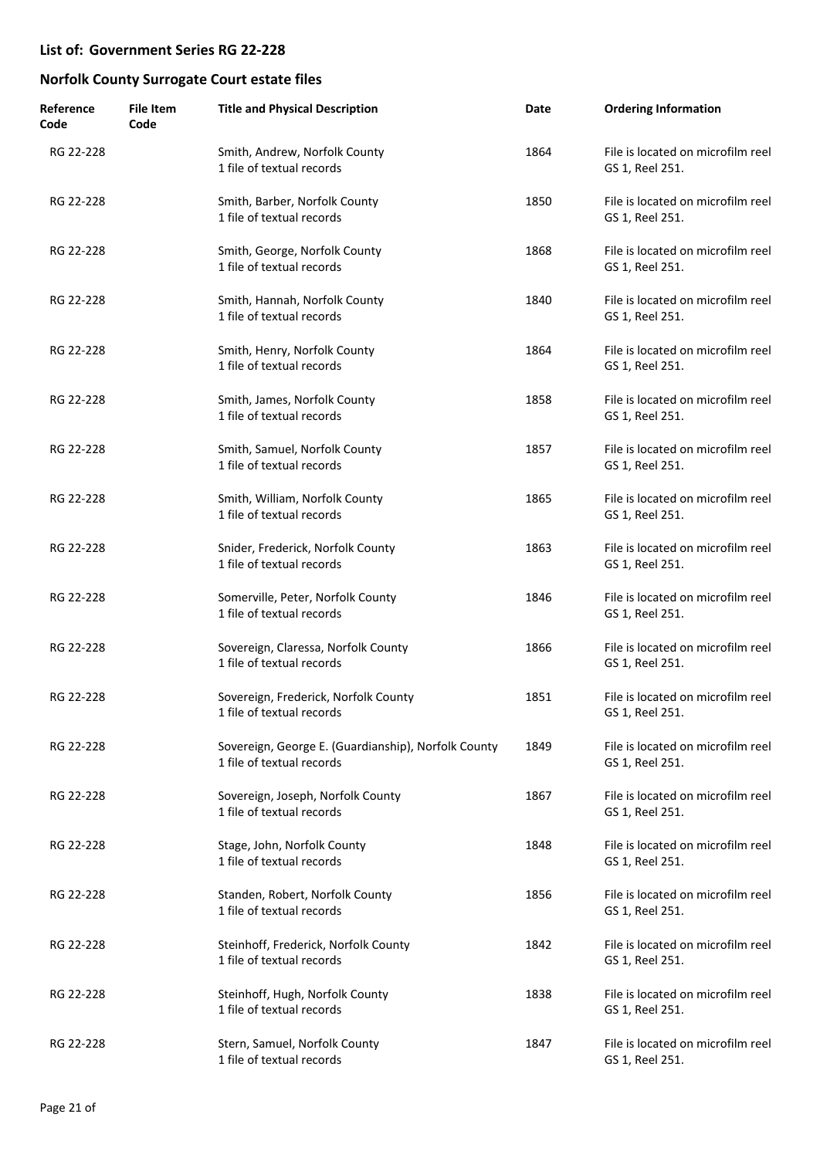| Reference<br>Code | <b>File Item</b><br>Code | <b>Title and Physical Description</b>                                            | Date | <b>Ordering Information</b>                          |
|-------------------|--------------------------|----------------------------------------------------------------------------------|------|------------------------------------------------------|
| RG 22-228         |                          | Smith, Andrew, Norfolk County<br>1 file of textual records                       | 1864 | File is located on microfilm reel<br>GS 1, Reel 251. |
| RG 22-228         |                          | Smith, Barber, Norfolk County<br>1 file of textual records                       | 1850 | File is located on microfilm reel<br>GS 1, Reel 251. |
| RG 22-228         |                          | Smith, George, Norfolk County<br>1 file of textual records                       | 1868 | File is located on microfilm reel<br>GS 1, Reel 251. |
| RG 22-228         |                          | Smith, Hannah, Norfolk County<br>1 file of textual records                       | 1840 | File is located on microfilm reel<br>GS 1, Reel 251. |
| RG 22-228         |                          | Smith, Henry, Norfolk County<br>1 file of textual records                        | 1864 | File is located on microfilm reel<br>GS 1, Reel 251. |
| RG 22-228         |                          | Smith, James, Norfolk County<br>1 file of textual records                        | 1858 | File is located on microfilm reel<br>GS 1, Reel 251. |
| RG 22-228         |                          | Smith, Samuel, Norfolk County<br>1 file of textual records                       | 1857 | File is located on microfilm reel<br>GS 1, Reel 251. |
| RG 22-228         |                          | Smith, William, Norfolk County<br>1 file of textual records                      | 1865 | File is located on microfilm reel<br>GS 1, Reel 251. |
| RG 22-228         |                          | Snider, Frederick, Norfolk County<br>1 file of textual records                   | 1863 | File is located on microfilm reel<br>GS 1, Reel 251. |
| RG 22-228         |                          | Somerville, Peter, Norfolk County<br>1 file of textual records                   | 1846 | File is located on microfilm reel<br>GS 1, Reel 251. |
| RG 22-228         |                          | Sovereign, Claressa, Norfolk County<br>1 file of textual records                 | 1866 | File is located on microfilm reel<br>GS 1, Reel 251. |
| RG 22-228         |                          | Sovereign, Frederick, Norfolk County<br>1 file of textual records                | 1851 | File is located on microfilm reel<br>GS 1, Reel 251. |
| RG 22-228         |                          | Sovereign, George E. (Guardianship), Norfolk County<br>1 file of textual records | 1849 | File is located on microfilm reel<br>GS 1, Reel 251. |
| RG 22-228         |                          | Sovereign, Joseph, Norfolk County<br>1 file of textual records                   | 1867 | File is located on microfilm reel<br>GS 1, Reel 251. |
| RG 22-228         |                          | Stage, John, Norfolk County<br>1 file of textual records                         | 1848 | File is located on microfilm reel<br>GS 1, Reel 251. |
| RG 22-228         |                          | Standen, Robert, Norfolk County<br>1 file of textual records                     | 1856 | File is located on microfilm reel<br>GS 1, Reel 251. |
| RG 22-228         |                          | Steinhoff, Frederick, Norfolk County<br>1 file of textual records                | 1842 | File is located on microfilm reel<br>GS 1, Reel 251. |
| RG 22-228         |                          | Steinhoff, Hugh, Norfolk County<br>1 file of textual records                     | 1838 | File is located on microfilm reel<br>GS 1, Reel 251. |
| RG 22-228         |                          | Stern, Samuel, Norfolk County<br>1 file of textual records                       | 1847 | File is located on microfilm reel<br>GS 1, Reel 251. |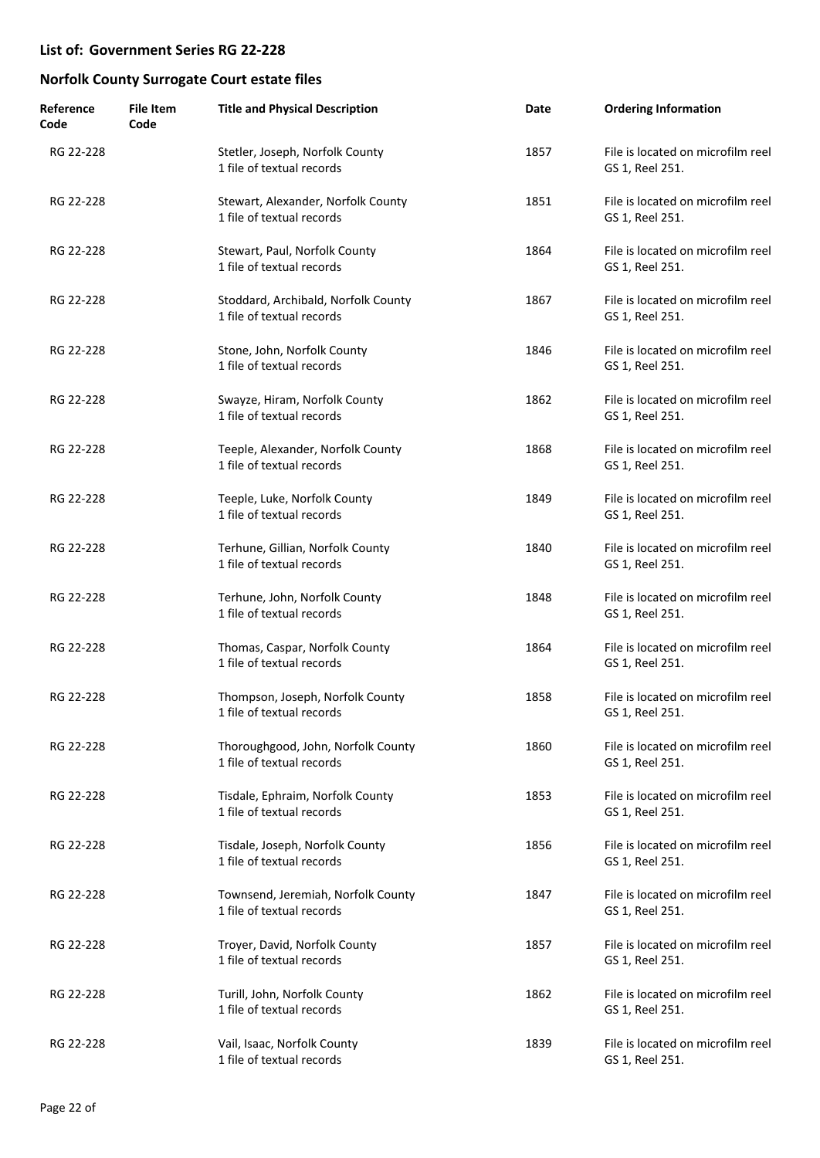| Reference<br>Code | <b>File Item</b><br>Code | <b>Title and Physical Description</b>                            | Date | <b>Ordering Information</b>                          |
|-------------------|--------------------------|------------------------------------------------------------------|------|------------------------------------------------------|
| RG 22-228         |                          | Stetler, Joseph, Norfolk County<br>1 file of textual records     | 1857 | File is located on microfilm reel<br>GS 1, Reel 251. |
| RG 22-228         |                          | Stewart, Alexander, Norfolk County<br>1 file of textual records  | 1851 | File is located on microfilm reel<br>GS 1, Reel 251. |
| RG 22-228         |                          | Stewart, Paul, Norfolk County<br>1 file of textual records       | 1864 | File is located on microfilm reel<br>GS 1, Reel 251. |
| RG 22-228         |                          | Stoddard, Archibald, Norfolk County<br>1 file of textual records | 1867 | File is located on microfilm reel<br>GS 1, Reel 251. |
| RG 22-228         |                          | Stone, John, Norfolk County<br>1 file of textual records         | 1846 | File is located on microfilm reel<br>GS 1, Reel 251. |
| RG 22-228         |                          | Swayze, Hiram, Norfolk County<br>1 file of textual records       | 1862 | File is located on microfilm reel<br>GS 1, Reel 251. |
| RG 22-228         |                          | Teeple, Alexander, Norfolk County<br>1 file of textual records   | 1868 | File is located on microfilm reel<br>GS 1, Reel 251. |
| RG 22-228         |                          | Teeple, Luke, Norfolk County<br>1 file of textual records        | 1849 | File is located on microfilm reel<br>GS 1, Reel 251. |
| RG 22-228         |                          | Terhune, Gillian, Norfolk County<br>1 file of textual records    | 1840 | File is located on microfilm reel<br>GS 1, Reel 251. |
| RG 22-228         |                          | Terhune, John, Norfolk County<br>1 file of textual records       | 1848 | File is located on microfilm reel<br>GS 1, Reel 251. |
| RG 22-228         |                          | Thomas, Caspar, Norfolk County<br>1 file of textual records      | 1864 | File is located on microfilm reel<br>GS 1, Reel 251. |
| RG 22-228         |                          | Thompson, Joseph, Norfolk County<br>1 file of textual records    | 1858 | File is located on microfilm reel<br>GS 1, Reel 251. |
| RG 22-228         |                          | Thoroughgood, John, Norfolk County<br>1 file of textual records  | 1860 | File is located on microfilm reel<br>GS 1, Reel 251. |
| RG 22-228         |                          | Tisdale, Ephraim, Norfolk County<br>1 file of textual records    | 1853 | File is located on microfilm reel<br>GS 1, Reel 251. |
| RG 22-228         |                          | Tisdale, Joseph, Norfolk County<br>1 file of textual records     | 1856 | File is located on microfilm reel<br>GS 1, Reel 251. |
| RG 22-228         |                          | Townsend, Jeremiah, Norfolk County<br>1 file of textual records  | 1847 | File is located on microfilm reel<br>GS 1, Reel 251. |
| RG 22-228         |                          | Troyer, David, Norfolk County<br>1 file of textual records       | 1857 | File is located on microfilm reel<br>GS 1, Reel 251. |
| RG 22-228         |                          | Turill, John, Norfolk County<br>1 file of textual records        | 1862 | File is located on microfilm reel<br>GS 1, Reel 251. |
| RG 22-228         |                          | Vail, Isaac, Norfolk County<br>1 file of textual records         | 1839 | File is located on microfilm reel<br>GS 1, Reel 251. |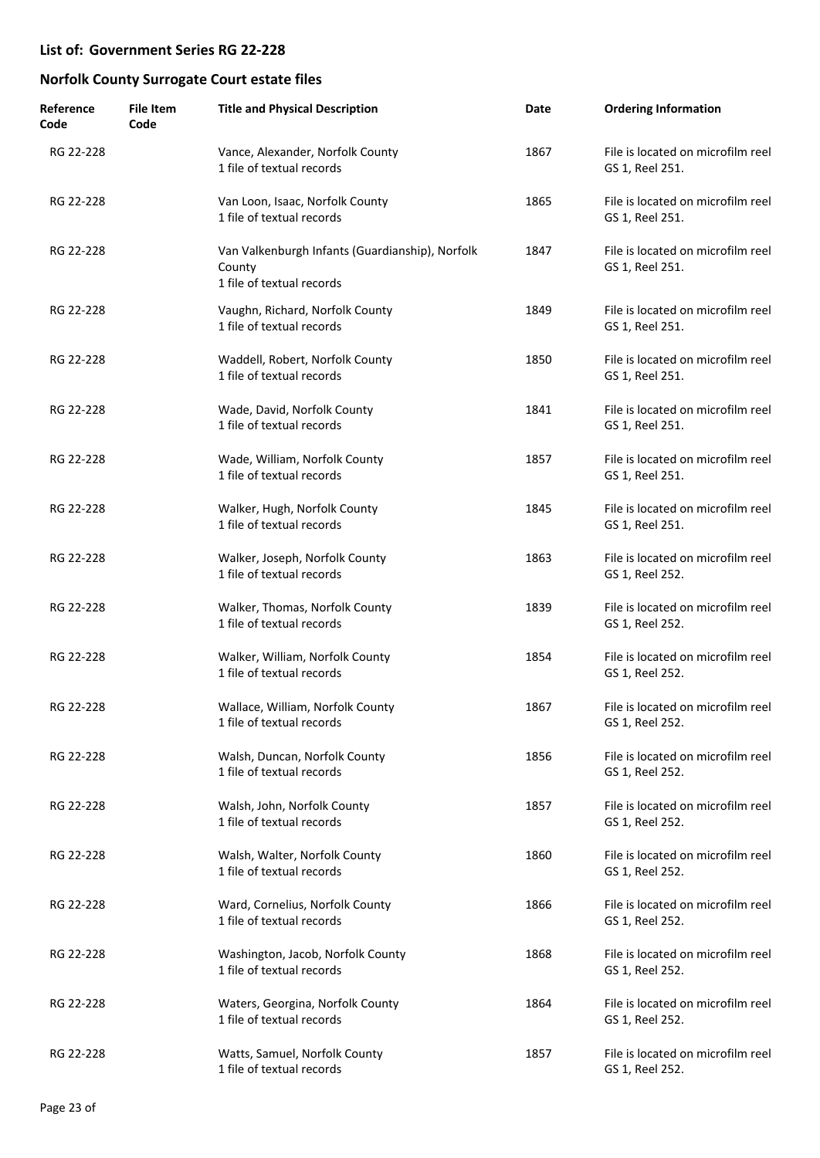| Reference<br>Code | <b>File Item</b><br>Code | <b>Title and Physical Description</b>                                                  | Date | <b>Ordering Information</b>                          |
|-------------------|--------------------------|----------------------------------------------------------------------------------------|------|------------------------------------------------------|
| RG 22-228         |                          | Vance, Alexander, Norfolk County<br>1 file of textual records                          | 1867 | File is located on microfilm reel<br>GS 1, Reel 251. |
| RG 22-228         |                          | Van Loon, Isaac, Norfolk County<br>1 file of textual records                           | 1865 | File is located on microfilm reel<br>GS 1, Reel 251. |
| RG 22-228         |                          | Van Valkenburgh Infants (Guardianship), Norfolk<br>County<br>1 file of textual records | 1847 | File is located on microfilm reel<br>GS 1, Reel 251. |
| RG 22-228         |                          | Vaughn, Richard, Norfolk County<br>1 file of textual records                           | 1849 | File is located on microfilm reel<br>GS 1, Reel 251. |
| RG 22-228         |                          | Waddell, Robert, Norfolk County<br>1 file of textual records                           | 1850 | File is located on microfilm reel<br>GS 1, Reel 251. |
| RG 22-228         |                          | Wade, David, Norfolk County<br>1 file of textual records                               | 1841 | File is located on microfilm reel<br>GS 1, Reel 251. |
| RG 22-228         |                          | Wade, William, Norfolk County<br>1 file of textual records                             | 1857 | File is located on microfilm reel<br>GS 1, Reel 251. |
| RG 22-228         |                          | Walker, Hugh, Norfolk County<br>1 file of textual records                              | 1845 | File is located on microfilm reel<br>GS 1, Reel 251. |
| RG 22-228         |                          | Walker, Joseph, Norfolk County<br>1 file of textual records                            | 1863 | File is located on microfilm reel<br>GS 1, Reel 252. |
| RG 22-228         |                          | Walker, Thomas, Norfolk County<br>1 file of textual records                            | 1839 | File is located on microfilm reel<br>GS 1, Reel 252. |
| RG 22-228         |                          | Walker, William, Norfolk County<br>1 file of textual records                           | 1854 | File is located on microfilm reel<br>GS 1, Reel 252. |
| RG 22-228         |                          | Wallace, William, Norfolk County<br>1 file of textual records                          | 1867 | File is located on microfilm reel<br>GS 1, Reel 252. |
| RG 22-228         |                          | Walsh, Duncan, Norfolk County<br>1 file of textual records                             | 1856 | File is located on microfilm reel<br>GS 1, Reel 252. |
| RG 22-228         |                          | Walsh, John, Norfolk County<br>1 file of textual records                               | 1857 | File is located on microfilm reel<br>GS 1, Reel 252. |
| RG 22-228         |                          | Walsh, Walter, Norfolk County<br>1 file of textual records                             | 1860 | File is located on microfilm reel<br>GS 1, Reel 252. |
| RG 22-228         |                          | Ward, Cornelius, Norfolk County<br>1 file of textual records                           | 1866 | File is located on microfilm reel<br>GS 1, Reel 252. |
| RG 22-228         |                          | Washington, Jacob, Norfolk County<br>1 file of textual records                         | 1868 | File is located on microfilm reel<br>GS 1, Reel 252. |
| RG 22-228         |                          | Waters, Georgina, Norfolk County<br>1 file of textual records                          | 1864 | File is located on microfilm reel<br>GS 1, Reel 252. |
| RG 22-228         |                          | Watts, Samuel, Norfolk County<br>1 file of textual records                             | 1857 | File is located on microfilm reel<br>GS 1, Reel 252. |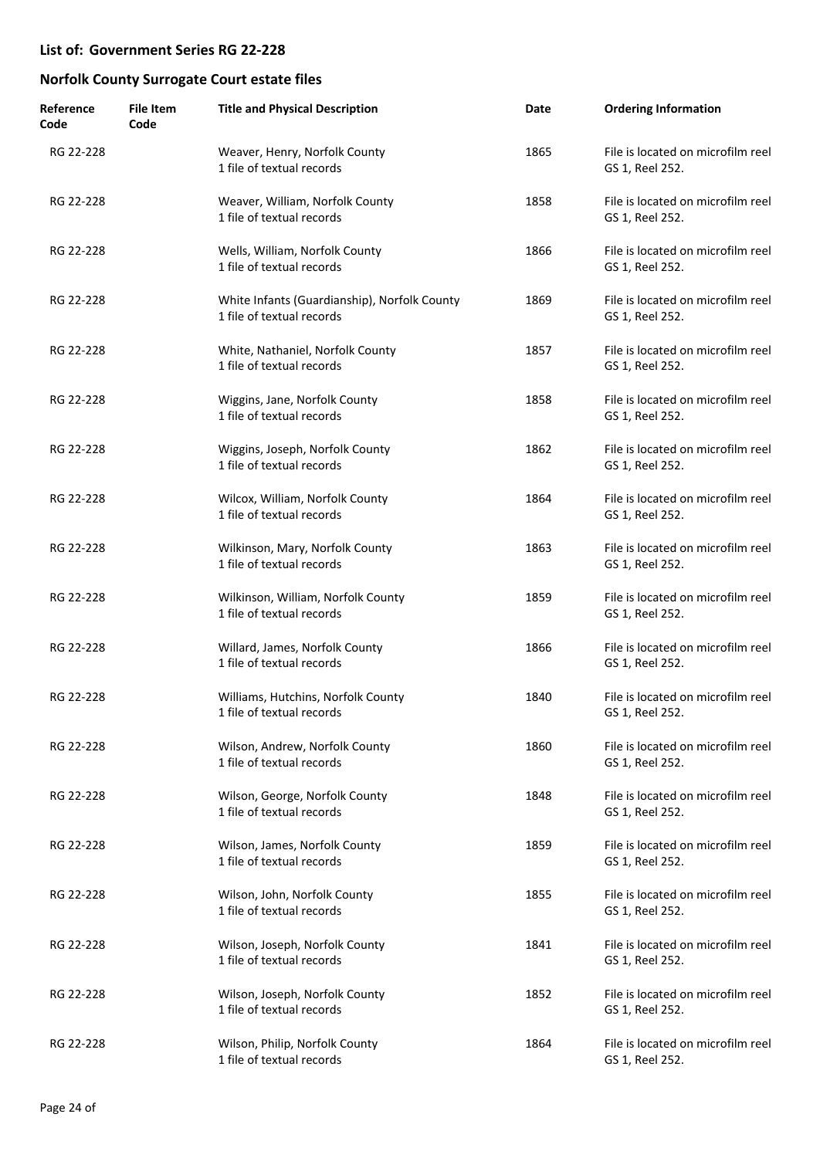| Reference<br>Code | <b>File Item</b><br>Code | <b>Title and Physical Description</b>                                     | Date | <b>Ordering Information</b>                          |
|-------------------|--------------------------|---------------------------------------------------------------------------|------|------------------------------------------------------|
| RG 22-228         |                          | Weaver, Henry, Norfolk County<br>1 file of textual records                | 1865 | File is located on microfilm reel<br>GS 1, Reel 252. |
| RG 22-228         |                          | Weaver, William, Norfolk County<br>1 file of textual records              | 1858 | File is located on microfilm reel<br>GS 1, Reel 252. |
| RG 22-228         |                          | Wells, William, Norfolk County<br>1 file of textual records               | 1866 | File is located on microfilm reel<br>GS 1, Reel 252. |
| RG 22-228         |                          | White Infants (Guardianship), Norfolk County<br>1 file of textual records | 1869 | File is located on microfilm reel<br>GS 1, Reel 252. |
| RG 22-228         |                          | White, Nathaniel, Norfolk County<br>1 file of textual records             | 1857 | File is located on microfilm reel<br>GS 1, Reel 252. |
| RG 22-228         |                          | Wiggins, Jane, Norfolk County<br>1 file of textual records                | 1858 | File is located on microfilm reel<br>GS 1, Reel 252. |
| RG 22-228         |                          | Wiggins, Joseph, Norfolk County<br>1 file of textual records              | 1862 | File is located on microfilm reel<br>GS 1, Reel 252. |
| RG 22-228         |                          | Wilcox, William, Norfolk County<br>1 file of textual records              | 1864 | File is located on microfilm reel<br>GS 1, Reel 252. |
| RG 22-228         |                          | Wilkinson, Mary, Norfolk County<br>1 file of textual records              | 1863 | File is located on microfilm reel<br>GS 1, Reel 252. |
| RG 22-228         |                          | Wilkinson, William, Norfolk County<br>1 file of textual records           | 1859 | File is located on microfilm reel<br>GS 1, Reel 252. |
| RG 22-228         |                          | Willard, James, Norfolk County<br>1 file of textual records               | 1866 | File is located on microfilm reel<br>GS 1, Reel 252. |
| RG 22-228         |                          | Williams, Hutchins, Norfolk County<br>1 file of textual records           | 1840 | File is located on microfilm reel<br>GS 1, Reel 252. |
| RG 22-228         |                          | Wilson, Andrew, Norfolk County<br>1 file of textual records               | 1860 | File is located on microfilm reel<br>GS 1, Reel 252. |
| RG 22-228         |                          | Wilson, George, Norfolk County<br>1 file of textual records               | 1848 | File is located on microfilm reel<br>GS 1, Reel 252. |
| RG 22-228         |                          | Wilson, James, Norfolk County<br>1 file of textual records                | 1859 | File is located on microfilm reel<br>GS 1, Reel 252. |
| RG 22-228         |                          | Wilson, John, Norfolk County<br>1 file of textual records                 | 1855 | File is located on microfilm reel<br>GS 1, Reel 252. |
| RG 22-228         |                          | Wilson, Joseph, Norfolk County<br>1 file of textual records               | 1841 | File is located on microfilm reel<br>GS 1, Reel 252. |
| RG 22-228         |                          | Wilson, Joseph, Norfolk County<br>1 file of textual records               | 1852 | File is located on microfilm reel<br>GS 1, Reel 252. |
| RG 22-228         |                          | Wilson, Philip, Norfolk County<br>1 file of textual records               | 1864 | File is located on microfilm reel<br>GS 1, Reel 252. |